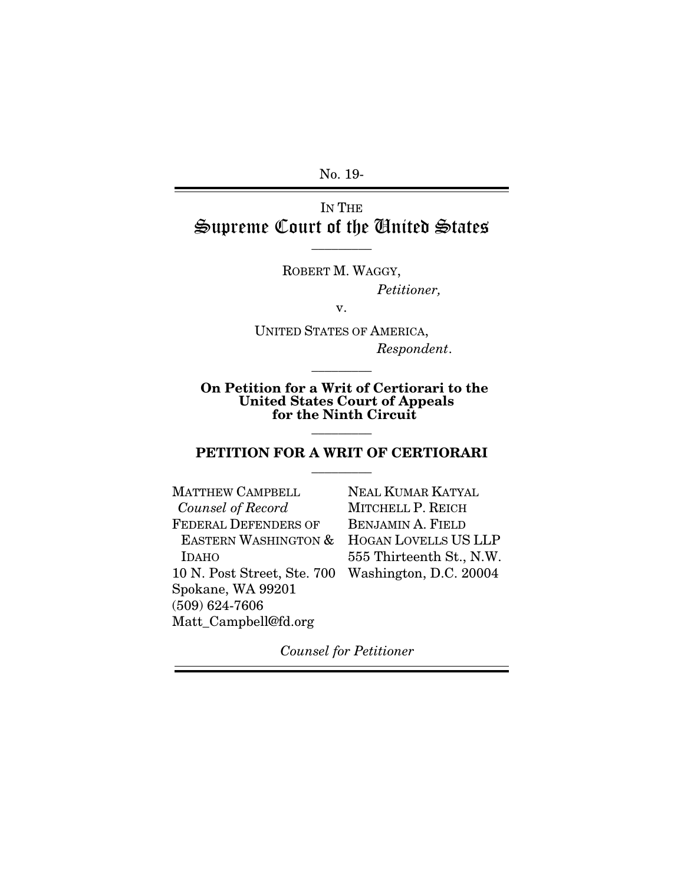No. 19-

# IN THE Supreme Court of the United States

 $\overline{\phantom{a}}$  . The set of  $\overline{\phantom{a}}$ 

ROBERT M. WAGGY, *Petitioner,*

v.

UNITED STATES OF AMERICA, *Respondent*.

On Petition for a Writ of Certiorari to the United States Court of Appeals for the Ninth Circuit

 $\overline{\phantom{a}}$  . The set of  $\overline{\phantom{a}}$ 

### PETITION FOR A WRIT OF CERTIORARI  $\overline{\phantom{a}}$  . The set of  $\overline{\phantom{a}}$

 $\overline{\phantom{a}}$  . The set of  $\overline{\phantom{a}}$ 

| <b>MATTHEW CAMPBELL</b>         | <b>NEAL KUMAR KATYAL</b>    |
|---------------------------------|-----------------------------|
| Counsel of Record               | MITCHELL P. REICH           |
| <b>FEDERAL DEFENDERS OF</b>     | <b>BENJAMIN A. FIELD</b>    |
| <b>EASTERN WASHINGTON &amp;</b> | <b>HOGAN LOVELLS US LLP</b> |
| <b>IDAHO</b>                    | 555 Thirteenth St., N.W.    |
| 10 N. Post Street, Ste. 700     | Washington, D.C. 20004      |
| Spokane, WA 99201               |                             |
| $(509) 624 - 7606$              |                             |
| Matt_Campbell@fd.org            |                             |

*Counsel for Petitioner*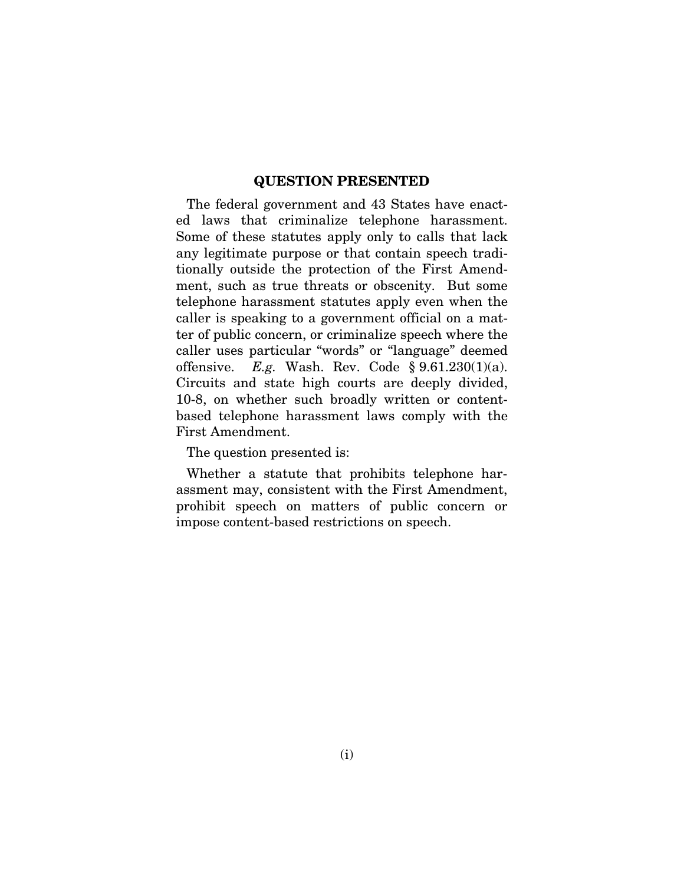#### QUESTION PRESENTED

The federal government and 43 States have enacted laws that criminalize telephone harassment. Some of these statutes apply only to calls that lack any legitimate purpose or that contain speech traditionally outside the protection of the First Amendment, such as true threats or obscenity. But some telephone harassment statutes apply even when the caller is speaking to a government official on a matter of public concern, or criminalize speech where the caller uses particular "words" or "language" deemed offensive. *E.g.* Wash. Rev. Code § 9.61.230(1)(a). Circuits and state high courts are deeply divided, 10-8, on whether such broadly written or contentbased telephone harassment laws comply with the First Amendment.

The question presented is:

Whether a statute that prohibits telephone harassment may, consistent with the First Amendment, prohibit speech on matters of public concern or impose content-based restrictions on speech.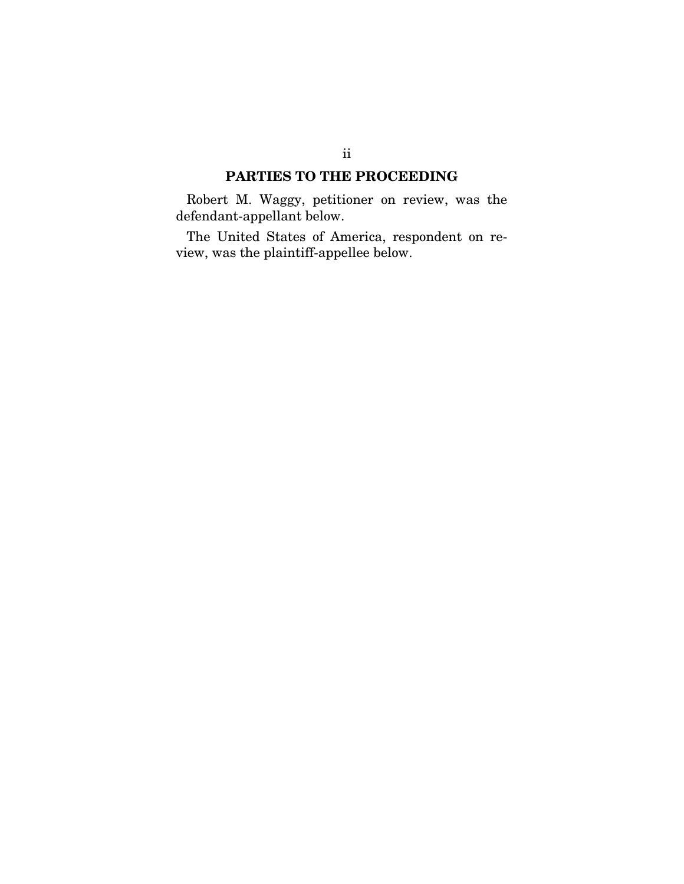### PARTIES TO THE PROCEEDING

Robert M. Waggy, petitioner on review, was the defendant-appellant below.

The United States of America, respondent on review, was the plaintiff-appellee below.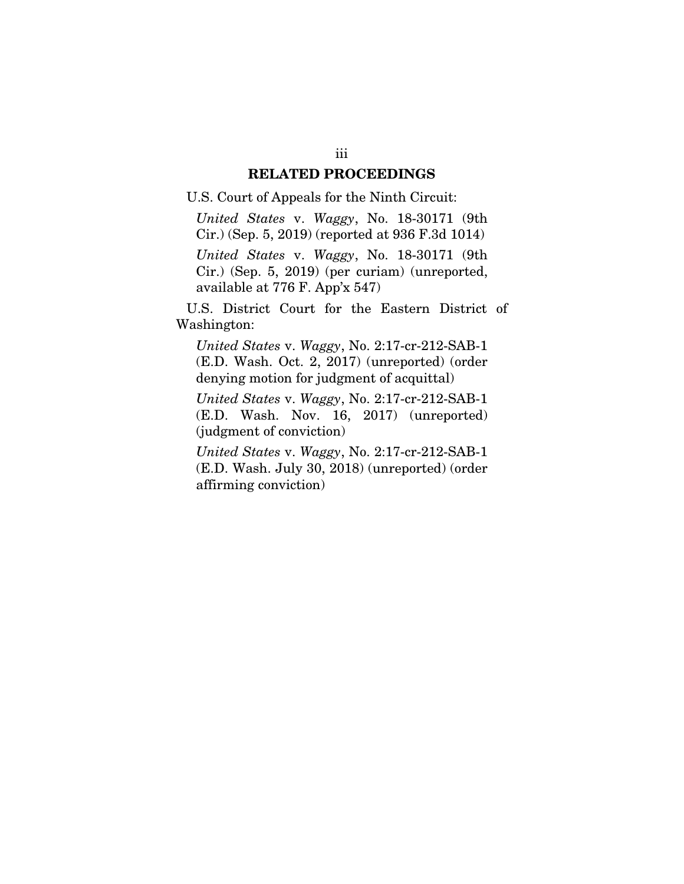#### RELATED PROCEEDINGS

#### U.S. Court of Appeals for the Ninth Circuit:

*United States* v. *Waggy*, No. 18-30171 (9th Cir.) (Sep. 5, 2019) (reported at 936 F.3d 1014) *United States* v. *Waggy*, No. 18-30171 (9th Cir.) (Sep. 5, 2019) (per curiam) (unreported, available at 776 F. App'x 547)

U.S. District Court for the Eastern District of Washington:

*United States* v. *Waggy*, No. 2:17-cr-212-SAB-1 (E.D. Wash. Oct. 2, 2017) (unreported) (order denying motion for judgment of acquittal)

*United States* v. *Waggy*, No. 2:17-cr-212-SAB-1 (E.D. Wash. Nov. 16, 2017) (unreported) (judgment of conviction)

*United States* v. *Waggy*, No. 2:17-cr-212-SAB-1 (E.D. Wash. July 30, 2018) (unreported) (order affirming conviction)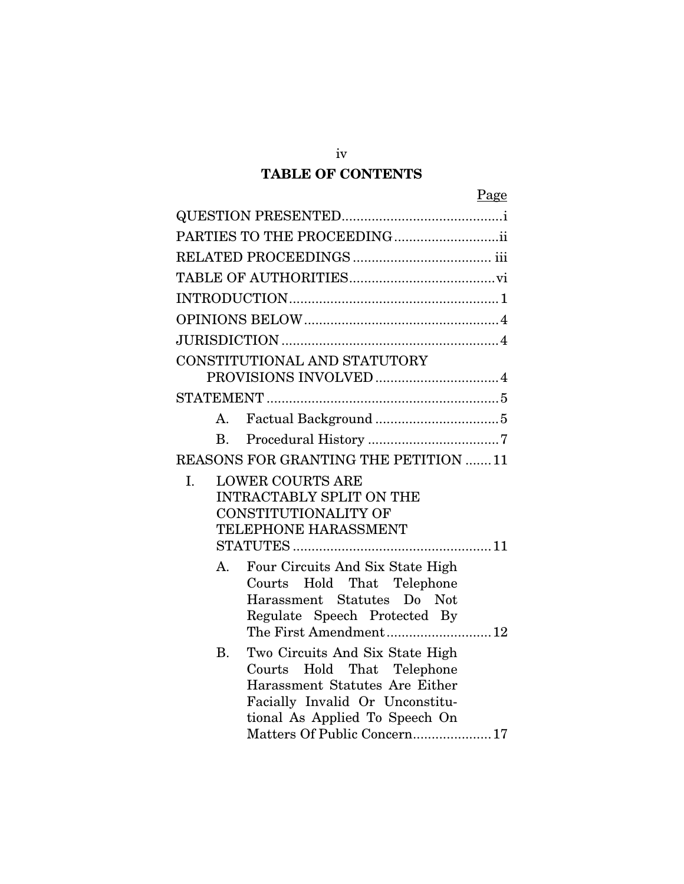# TABLE OF CONTENTS

| Page                                                                       |
|----------------------------------------------------------------------------|
|                                                                            |
| PARTIES TO THE PROCEEDING                                                  |
|                                                                            |
|                                                                            |
|                                                                            |
|                                                                            |
|                                                                            |
| CONSTITUTIONAL AND STATUTORY                                               |
|                                                                            |
|                                                                            |
| A.                                                                         |
| $\mathbf{B}$                                                               |
| REASONS FOR GRANTING THE PETITION 11                                       |
| <b>LOWER COURTS ARE</b><br>I.                                              |
| <b>INTRACTABLY SPLIT ON THE</b><br>CONSTITUTIONALITY OF                    |
| TELEPHONE HARASSMENT                                                       |
|                                                                            |
| Four Circuits And Six State High<br>$A_{\cdot}$                            |
| Hold That Telephone<br>Courts                                              |
| Harassment Statutes Do Not                                                 |
| Regulate Speech Protected By<br>The First Amendment12                      |
|                                                                            |
| <b>B.</b><br>Two Circuits And Six State High<br>Courts Hold That Telephone |
| Harassment Statutes Are Either                                             |
| Facially Invalid Or Unconstitu-                                            |
| tional As Applied To Speech On                                             |
| Matters Of Public Concern 17                                               |

iv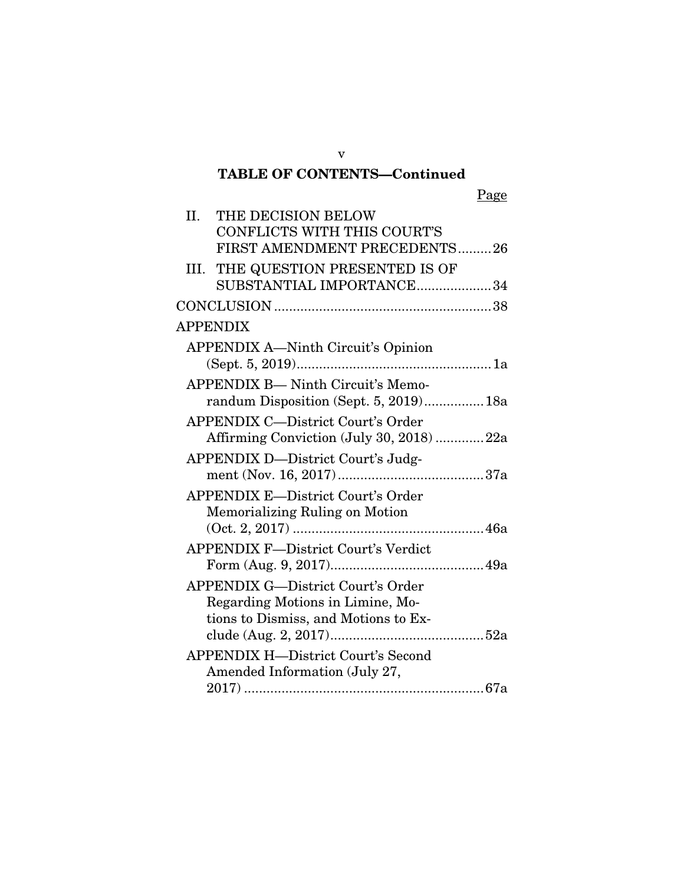# TABLE OF CONTENTS—Continued

Page

| II. | THE DECISION BELOW                         |
|-----|--------------------------------------------|
|     | CONFLICTS WITH THIS COURT'S                |
|     | FIRST AMENDMENT PRECEDENTS26               |
|     | III. THE QUESTION PRESENTED IS OF          |
|     | SUBSTANTIAL IMPORTANCE34                   |
|     |                                            |
|     | <b>APPENDIX</b>                            |
|     | <b>APPENDIX A—Ninth Circuit's Opinion</b>  |
|     |                                            |
|     | <b>APPENDIX B- Ninth Circuit's Memo-</b>   |
|     | randum Disposition (Sept. 5, 2019)18a      |
|     | <b>APPENDIX C-District Court's Order</b>   |
|     | Affirming Conviction (July 30, 2018) 22a   |
|     | APPENDIX D-District Court's Judg-          |
|     |                                            |
|     | <b>APPENDIX E-District Court's Order</b>   |
|     | Memorializing Ruling on Motion             |
|     |                                            |
|     | <b>APPENDIX F-District Court's Verdict</b> |
|     | <b>APPENDIX G-District Court's Order</b>   |
|     | Regarding Motions in Limine, Mo-           |
|     | tions to Dismiss, and Motions to Ex-       |
|     |                                            |
|     | <b>APPENDIX H-District Court's Second</b>  |
|     | Amended Information (July 27,              |
|     |                                            |

v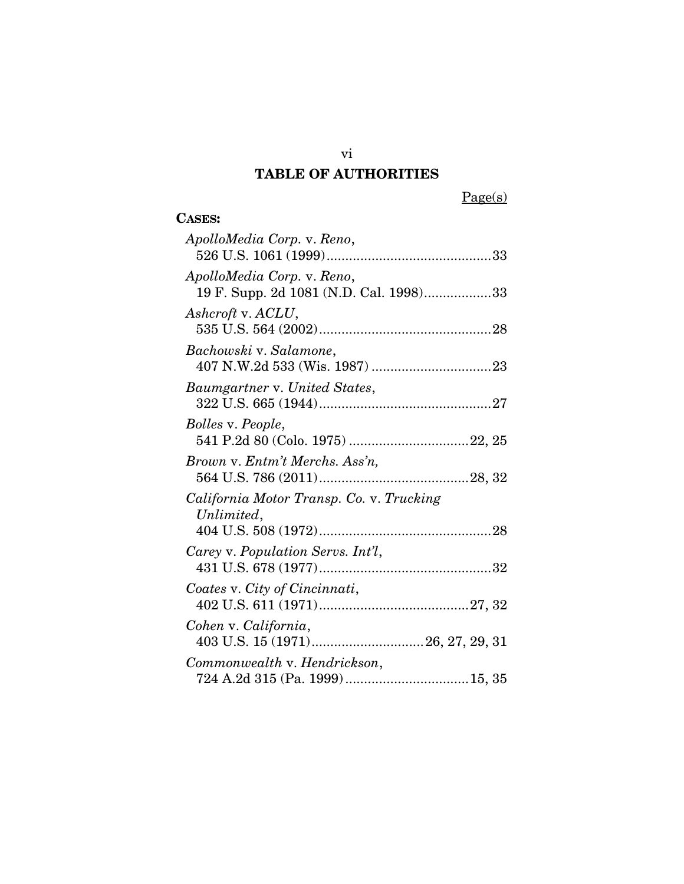# TABLE OF AUTHORITIES

vi

 $Page(s)$ 

# CASES:

| ApolloMedia Corp. v. Reno,                                           |
|----------------------------------------------------------------------|
| ApolloMedia Corp. v. Reno,<br>19 F. Supp. 2d 1081 (N.D. Cal. 1998)33 |
| Ashcroft v. ACLU,                                                    |
| Bachowski v. Salamone,                                               |
| Baumgartner v. United States,                                        |
| <i>Bolles v. People,</i>                                             |
| Brown v. Entm't Merchs. Ass'n,                                       |
| California Motor Transp. Co. v. Trucking<br>Unlimited,               |
| Carey v. Population Servs. Int'l,                                    |
| Coates v. City of Cincinnati,                                        |
| Cohen v. California,                                                 |
| Commonwealth v. Hendrickson,                                         |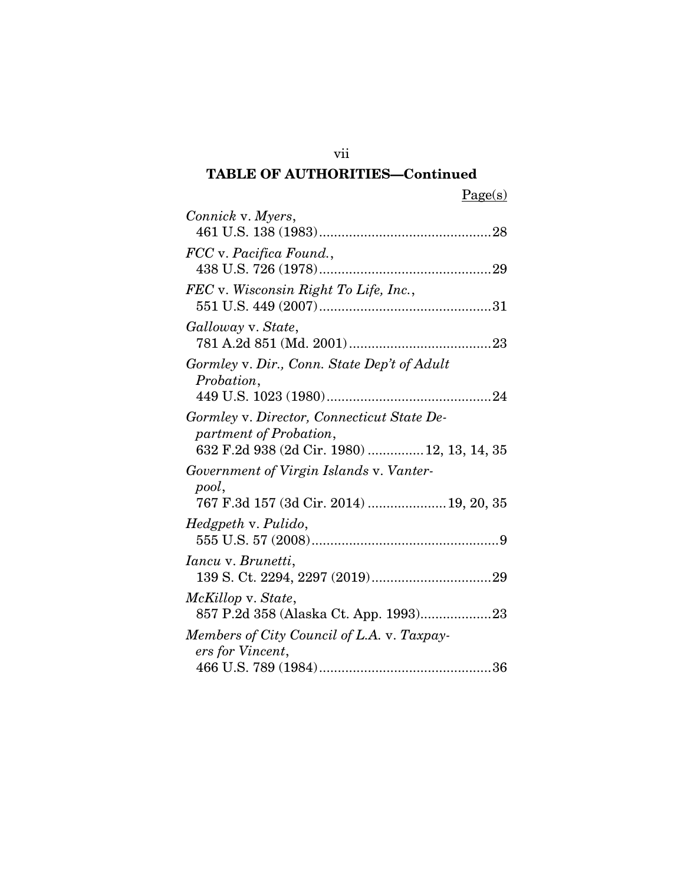| L. |  |
|----|--|
|    |  |

| Connick v. Myers,                                                                                                   |
|---------------------------------------------------------------------------------------------------------------------|
| FCC v. Pacifica Found.,                                                                                             |
| FEC v. Wisconsin Right To Life, Inc.,                                                                               |
| Galloway v. State,                                                                                                  |
| Gormley v. Dir., Conn. State Dep't of Adult<br>Probation,                                                           |
| Gormley v. Director, Connecticut State De-<br>partment of Probation,<br>632 F.2d 938 (2d Cir. 1980)  12, 13, 14, 35 |
| Government of Virgin Islands v. Vanter-<br>pool,<br>767 F.3d 157 (3d Cir. 2014)  19, 20, 35                         |
| Hedgpeth v. Pulido,                                                                                                 |
| <i>Iancu v. Brunetti,</i>                                                                                           |
| McKillop v. State,<br>857 P.2d 358 (Alaska Ct. App. 1993)23                                                         |
| Members of City Council of L.A. v. Taxpay-<br>ers for Vincent,                                                      |
|                                                                                                                     |

vii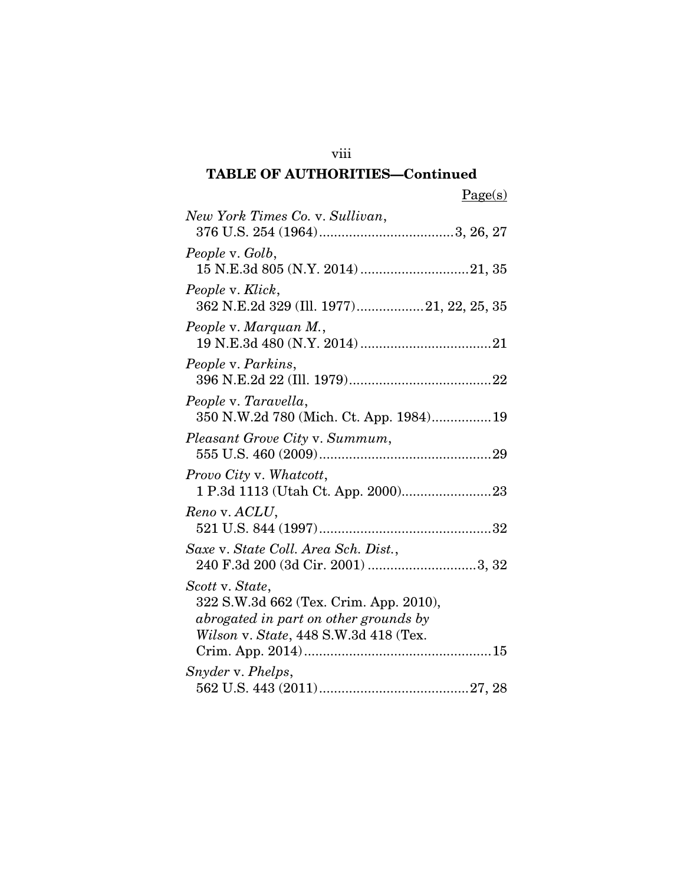| New York Times Co. v. Sullivan,          |
|------------------------------------------|
|                                          |
| People v. Golb,                          |
|                                          |
| People v. Klick,                         |
| 362 N.E.2d 329 (Ill. 1977)21, 22, 25, 35 |
| People v. Marquan M.,                    |
|                                          |
| People v. Parkins,                       |
|                                          |
| People v. Taravella,                     |
| 350 N.W.2d 780 (Mich. Ct. App. 1984) 19  |
| Pleasant Grove City v. Summum,           |
|                                          |
| Provo City v. Whatcott,                  |
|                                          |
| Reno v. ACLU,                            |
|                                          |
| Saxe v. State Coll. Area Sch. Dist.,     |
|                                          |
| Scott v. State,                          |
| 322 S.W.3d 662 (Tex. Crim. App. 2010),   |
| abrogated in part on other grounds by    |
| Wilson v. State, 448 S.W.3d 418 (Tex.    |
|                                          |
| Snyder v. Phelps,                        |
|                                          |

viii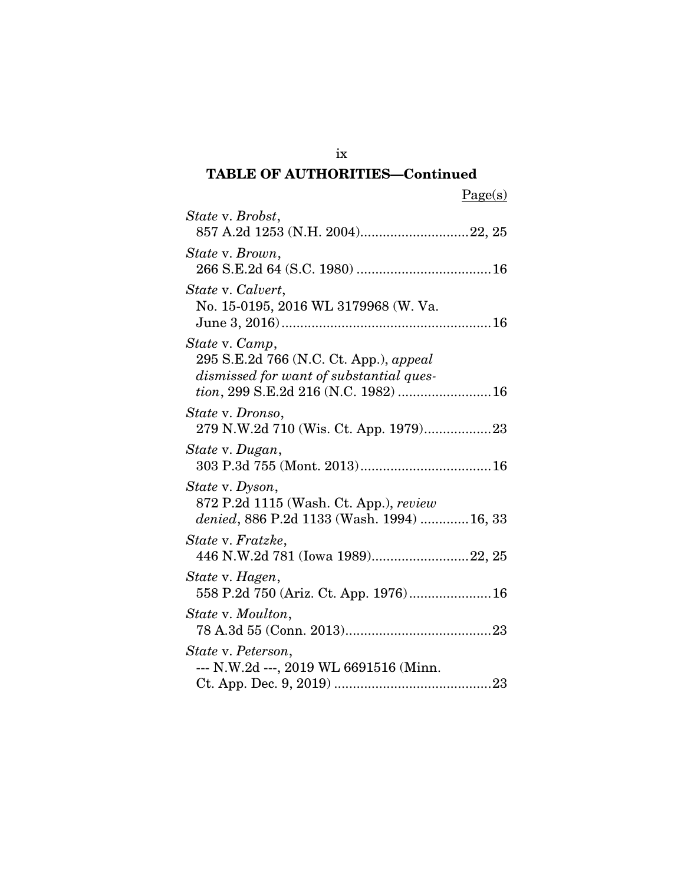| m | ц |  |
|---|---|--|
|   |   |  |

| State v. Brobst,                                                                                                                            |
|---------------------------------------------------------------------------------------------------------------------------------------------|
| State v. Brown,                                                                                                                             |
| State v. Calvert,<br>No. 15-0195, 2016 WL 3179968 (W. Va.                                                                                   |
| State v. Camp,<br>295 S.E.2d 766 (N.C. Ct. App.), appeal<br>dismissed for want of substantial ques-<br>tion, 299 S.E.2d 216 (N.C. 1982)  16 |
| State v. Dronso,<br>279 N.W.2d 710 (Wis. Ct. App. 1979)23                                                                                   |
| State v. Dugan,                                                                                                                             |
| State v. Dyson,<br>872 P.2d 1115 (Wash. Ct. App.), review<br>denied, 886 P.2d 1133 (Wash. 1994)  16, 33                                     |
| State v. Fratzke,<br>446 N.W.2d 781 (Iowa 1989)22, 25                                                                                       |
| State v. Hagen,                                                                                                                             |
| State v. Moulton,                                                                                                                           |
| State v. Peterson,<br>--- N.W.2d ---, 2019 WL 6691516 (Minn.                                                                                |

ix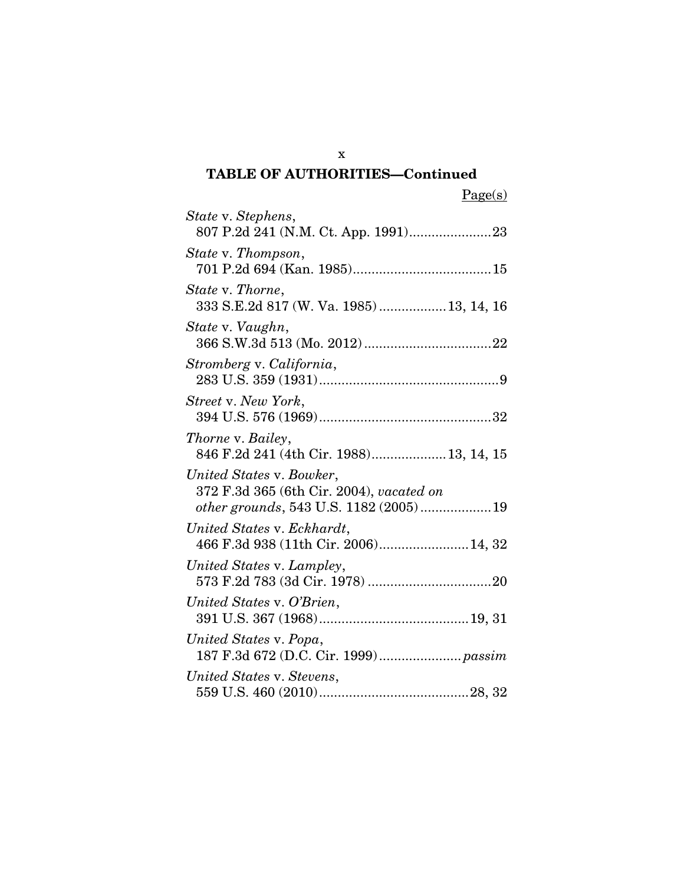Page(s)

| State v. Stephens,                                                                                            |
|---------------------------------------------------------------------------------------------------------------|
| State v. Thompson,                                                                                            |
| State v. Thorne,<br>333 S.E.2d 817 (W. Va. 1985) 13, 14, 16                                                   |
| State v. Vaughn,                                                                                              |
| Stromberg v. California,                                                                                      |
| Street v. New York,                                                                                           |
| <i>Thorne v. Bailey,</i><br>846 F.2d 241 (4th Cir. 1988) 13, 14, 15                                           |
| United States v. Bowker,<br>372 F.3d 365 (6th Cir. 2004), vacated on<br>other grounds, 543 U.S. 1182 (2005)19 |
| United States v. Eckhardt,<br>466 F.3d 938 (11th Cir. 2006) 14, 32                                            |
| United States v. Lampley,                                                                                     |
| United States v. O'Brien,                                                                                     |
| United States v. Popa,<br>187 F.3d 672 (D.C. Cir. 1999) passim                                                |
| United States v. Stevens,                                                                                     |

x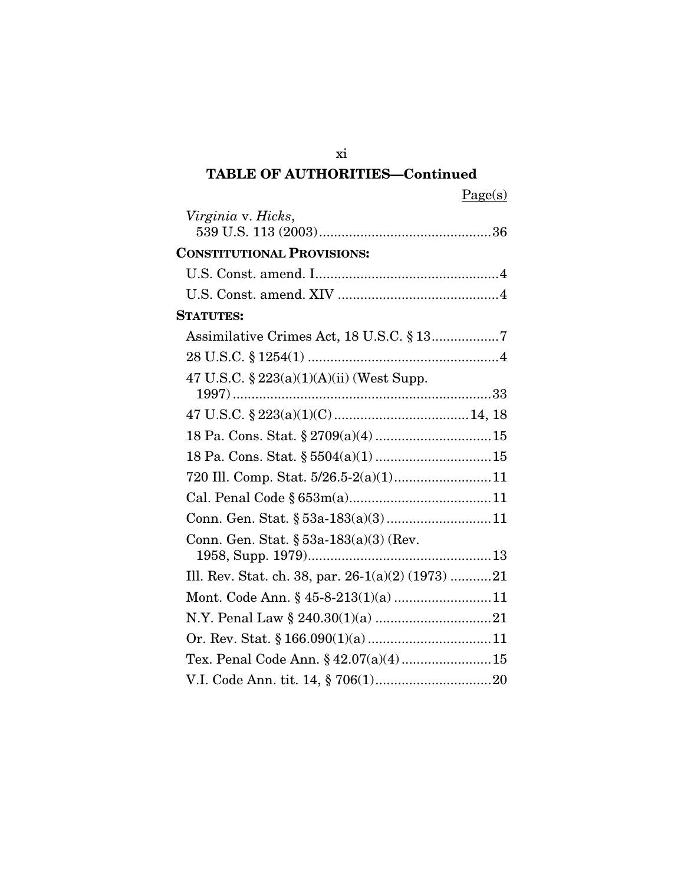|--|

| Virginia v. Hicks,                                |  |
|---------------------------------------------------|--|
| <b>CONSTITUTIONAL PROVISIONS:</b>                 |  |
|                                                   |  |
|                                                   |  |
| <b>STATUTES:</b>                                  |  |
|                                                   |  |
|                                                   |  |
| 47 U.S.C. $\S 223(a)(1)(A)(ii)$ (West Supp.       |  |
|                                                   |  |
|                                                   |  |
|                                                   |  |
|                                                   |  |
| 720 Ill. Comp. Stat. 5/26.5-2(a)(1)11             |  |
|                                                   |  |
|                                                   |  |
| Conn. Gen. Stat. $\S 53a-183(a)(3)$ (Rev.         |  |
|                                                   |  |
| Ill. Rev. Stat. ch. 38, par. 26-1(a)(2) (1973) 21 |  |
| Mont. Code Ann. § 45-8-213(1)(a)11                |  |
|                                                   |  |
|                                                   |  |
| Tex. Penal Code Ann. § 42.07(a)(4) 15             |  |
|                                                   |  |

xi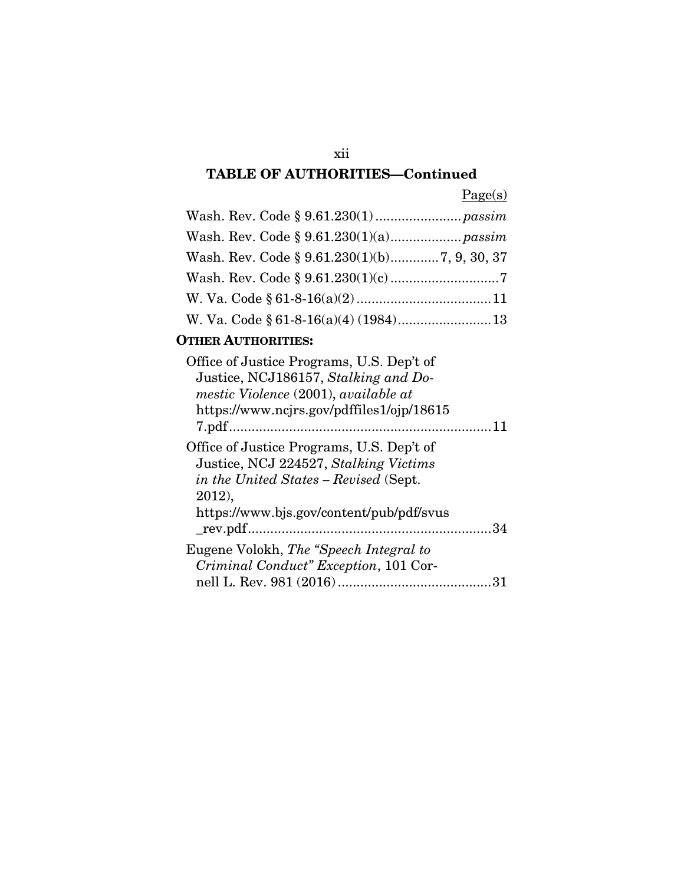# xii

# TABLE OF AUTHORITIES—Continued

Page(s)

# OTHER AUTHORITIES:

| Office of Justice Programs, U.S. Dep't of<br>Justice, NCJ186157, Stalking and Do-<br>mestic Violence (2001), available at<br>https://www.ncjrs.gov/pdffiles1/ojp/18615 |  |
|------------------------------------------------------------------------------------------------------------------------------------------------------------------------|--|
| Office of Justice Programs, U.S. Dep't of<br>Justice, NCJ 224527, Stalking Victims<br>in the United States - Revised (Sept.<br>2012).                                  |  |
| https://www.bjs.gov/content/pub/pdf/svus                                                                                                                               |  |
| Eugene Volokh, The "Speech Integral to<br>Criminal Conduct" Exception, 101 Cor-                                                                                        |  |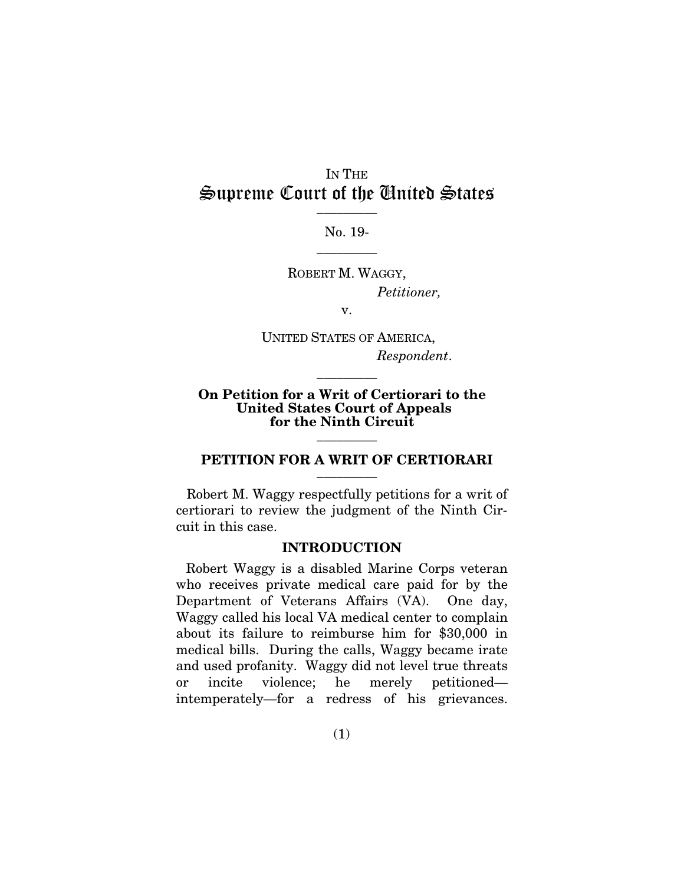## IN THE Supreme Court of the United States  $\frac{1}{\sqrt{2}}$

No. 19-  $\overline{\phantom{a}}$  . The set of  $\overline{\phantom{a}}$ 

ROBERT M. WAGGY, *Petitioner,*

v.

UNITED STATES OF AMERICA, *Respondent*.

 $\overline{\phantom{a}}$  . The set of  $\overline{\phantom{a}}$ 

#### On Petition for a Writ of Certiorari to the United States Court of Appeals for the Ninth Circuit  $\overline{\phantom{a}}$  . The set of  $\overline{\phantom{a}}$

#### PETITION FOR A WRIT OF CERTIORARI  $\overline{\phantom{a}}$  . The set of  $\overline{\phantom{a}}$

Robert M. Waggy respectfully petitions for a writ of certiorari to review the judgment of the Ninth Circuit in this case.

#### INTRODUCTION

Robert Waggy is a disabled Marine Corps veteran who receives private medical care paid for by the Department of Veterans Affairs (VA). One day, Waggy called his local VA medical center to complain about its failure to reimburse him for \$30,000 in medical bills. During the calls, Waggy became irate and used profanity. Waggy did not level true threats or incite violence; he merely petitioned intemperately—for a redress of his grievances.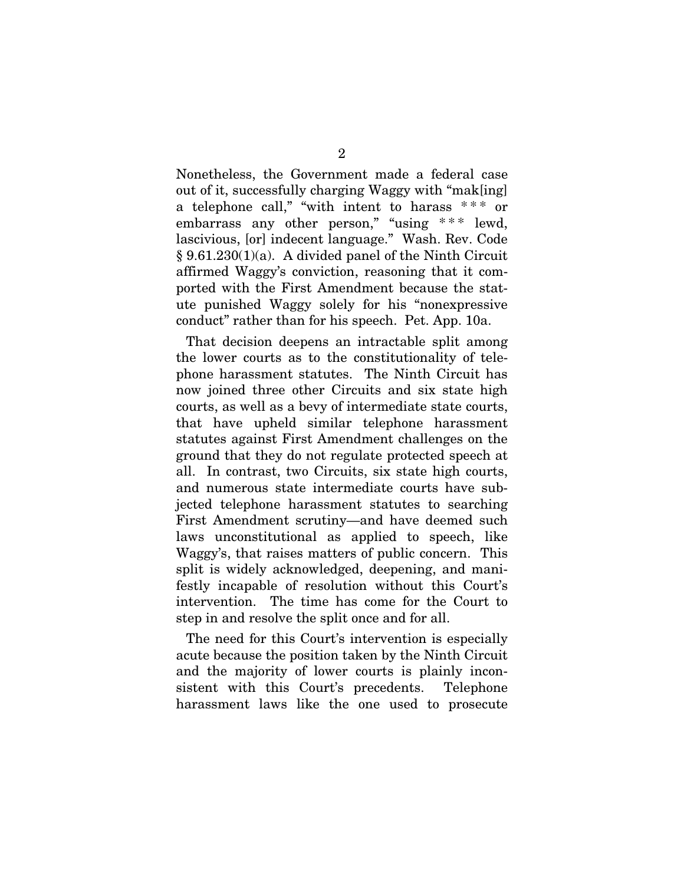Nonetheless, the Government made a federal case out of it, successfully charging Waggy with "mak[ing] a telephone call," "with intent to harass  $***$  or embarrass any other person," "using \*\*\* lewd, lascivious, [or] indecent language." Wash. Rev. Code  $§ 9.61.230(1)(a)$ . A divided panel of the Ninth Circuit affirmed Waggy's conviction, reasoning that it comported with the First Amendment because the statute punished Waggy solely for his "nonexpressive conduct" rather than for his speech. Pet. App. 10a.

That decision deepens an intractable split among the lower courts as to the constitutionality of telephone harassment statutes. The Ninth Circuit has now joined three other Circuits and six state high courts, as well as a bevy of intermediate state courts, that have upheld similar telephone harassment statutes against First Amendment challenges on the ground that they do not regulate protected speech at all. In contrast, two Circuits, six state high courts, and numerous state intermediate courts have subjected telephone harassment statutes to searching First Amendment scrutiny—and have deemed such laws unconstitutional as applied to speech, like Waggy's, that raises matters of public concern. This split is widely acknowledged, deepening, and manifestly incapable of resolution without this Court's intervention. The time has come for the Court to step in and resolve the split once and for all.

The need for this Court's intervention is especially acute because the position taken by the Ninth Circuit and the majority of lower courts is plainly inconsistent with this Court's precedents. Telephone harassment laws like the one used to prosecute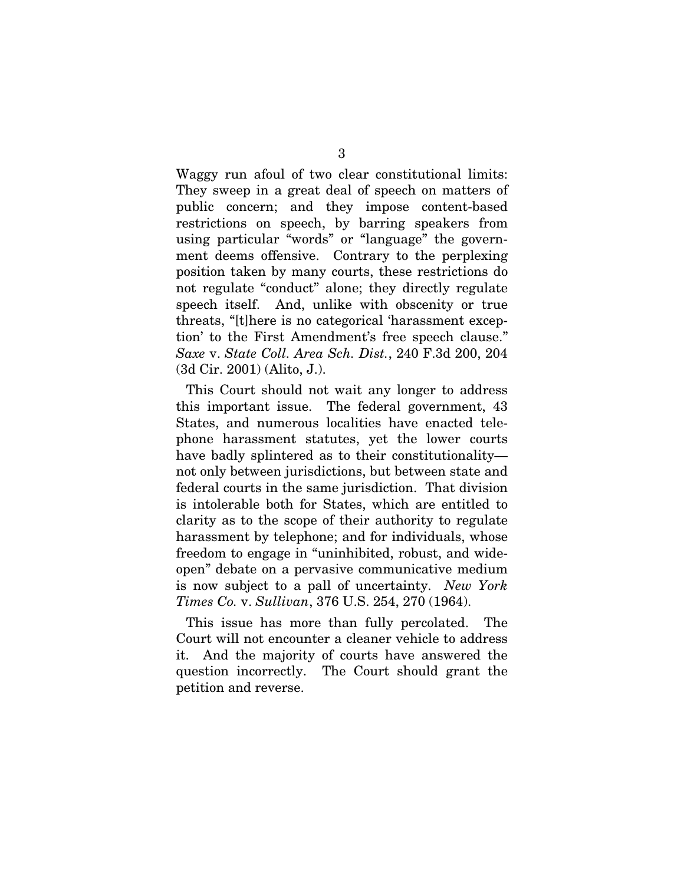Waggy run afoul of two clear constitutional limits: They sweep in a great deal of speech on matters of public concern; and they impose content-based restrictions on speech, by barring speakers from using particular "words" or "language" the government deems offensive. Contrary to the perplexing position taken by many courts, these restrictions do not regulate "conduct" alone; they directly regulate speech itself. And, unlike with obscenity or true threats, "[t]here is no categorical 'harassment exception' to the First Amendment's free speech clause." *Saxe* v. *State Coll. Area Sch. Dist.*, 240 F.3d 200, 204 (3d Cir. 2001) (Alito, J.).

This Court should not wait any longer to address this important issue. The federal government, 43 States, and numerous localities have enacted telephone harassment statutes, yet the lower courts have badly splintered as to their constitutionality not only between jurisdictions, but between state and federal courts in the same jurisdiction. That division is intolerable both for States, which are entitled to clarity as to the scope of their authority to regulate harassment by telephone; and for individuals, whose freedom to engage in "uninhibited, robust, and wideopen" debate on a pervasive communicative medium is now subject to a pall of uncertainty. *New York Times Co.* v. *Sullivan*, 376 U.S. 254, 270 (1964).

This issue has more than fully percolated. The Court will not encounter a cleaner vehicle to address it. And the majority of courts have answered the question incorrectly. The Court should grant the petition and reverse.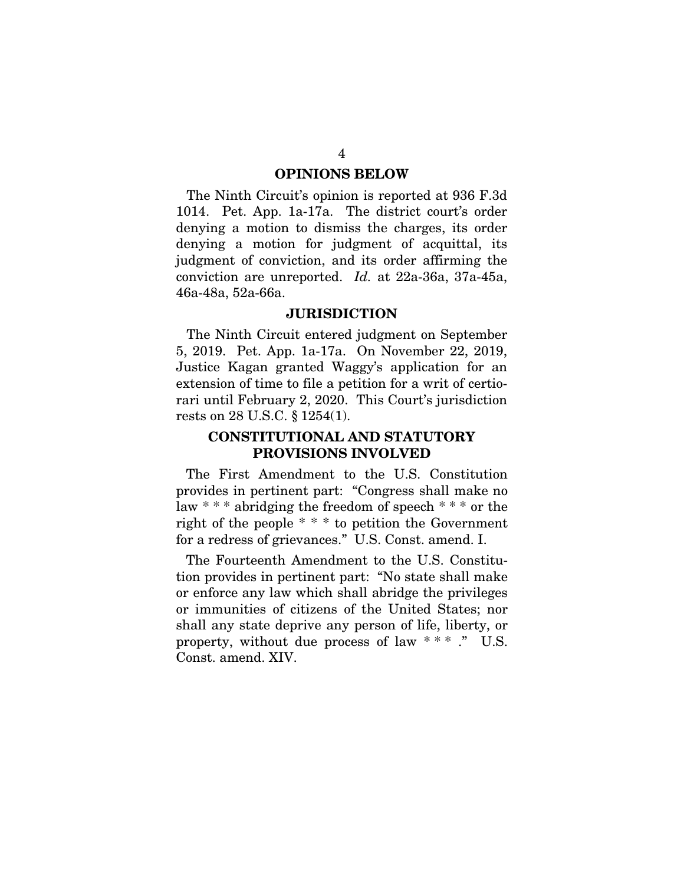#### OPINIONS BELOW

The Ninth Circuit's opinion is reported at 936 F.3d 1014. Pet. App. 1a-17a. The district court's order denying a motion to dismiss the charges, its order denying a motion for judgment of acquittal, its judgment of conviction, and its order affirming the conviction are unreported. *Id.* at 22a-36a, 37a-45a, 46a-48a, 52a-66a.

#### **JURISDICTION**

The Ninth Circuit entered judgment on September 5, 2019. Pet. App. 1a-17a. On November 22, 2019, Justice Kagan granted Waggy's application for an extension of time to file a petition for a writ of certiorari until February 2, 2020. This Court's jurisdiction rests on 28 U.S.C. § 1254(1).

### CONSTITUTIONAL AND STATUTORY PROVISIONS INVOLVED

The First Amendment to the U.S. Constitution provides in pertinent part: "Congress shall make no law  $***$  abridging the freedom of speech  $***$  or the right of the people \* \* \* to petition the Government for a redress of grievances." U.S. Const. amend. I.

The Fourteenth Amendment to the U.S. Constitution provides in pertinent part: "No state shall make or enforce any law which shall abridge the privileges or immunities of citizens of the United States; nor shall any state deprive any person of life, liberty, or property, without due process of law  $**$  ." U.S. Const. amend. XIV.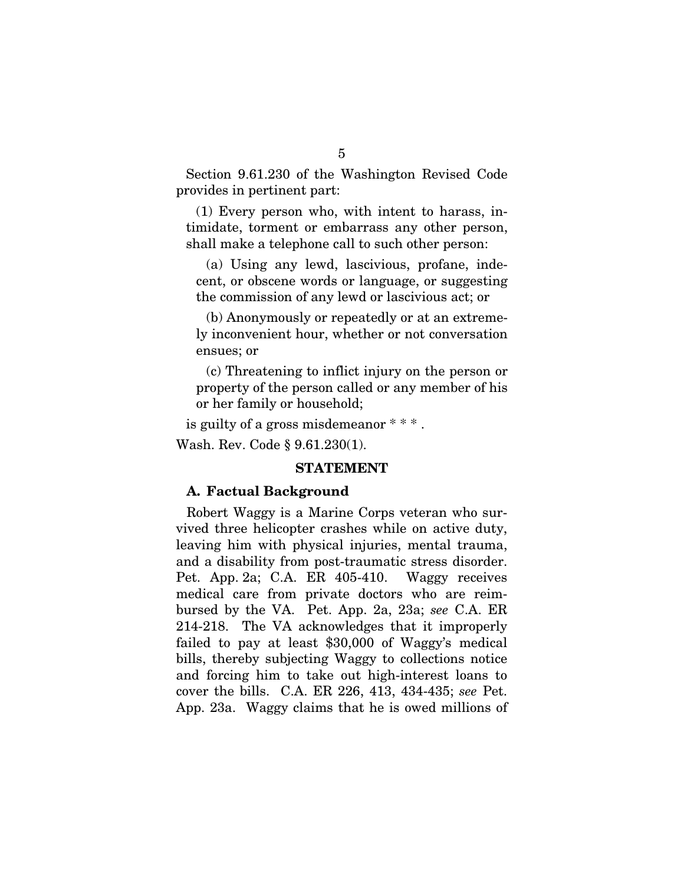Section 9.61.230 of the Washington Revised Code provides in pertinent part:

(1) Every person who, with intent to harass, intimidate, torment or embarrass any other person, shall make a telephone call to such other person:

(a) Using any lewd, lascivious, profane, indecent, or obscene words or language, or suggesting the commission of any lewd or lascivious act; or

(b) Anonymously or repeatedly or at an extremely inconvenient hour, whether or not conversation ensues; or

(c) Threatening to inflict injury on the person or property of the person called or any member of his or her family or household;

is guilty of a gross misdemeanor \* \* \* .

Wash. Rev. Code § 9.61.230(1).

#### STATEMENT

#### A. Factual Background

Robert Waggy is a Marine Corps veteran who survived three helicopter crashes while on active duty, leaving him with physical injuries, mental trauma, and a disability from post-traumatic stress disorder. Pet. App. 2a; C.A. ER 405-410. Waggy receives medical care from private doctors who are reimbursed by the VA. Pet. App. 2a, 23a; *see* C.A. ER 214-218. The VA acknowledges that it improperly failed to pay at least \$30,000 of Waggy's medical bills, thereby subjecting Waggy to collections notice and forcing him to take out high-interest loans to cover the bills. C.A. ER 226, 413, 434-435; *see* Pet. App. 23a. Waggy claims that he is owed millions of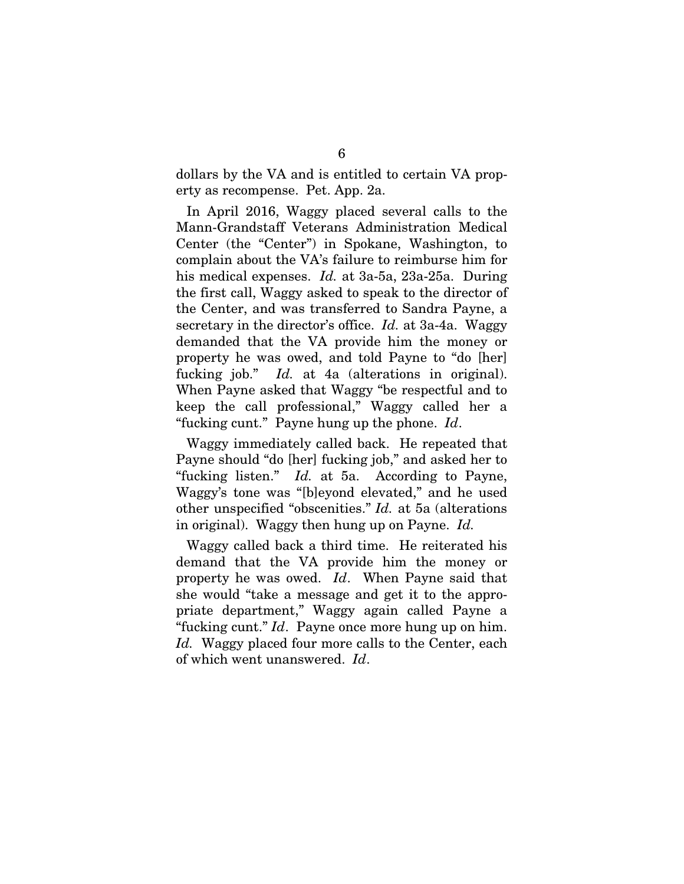dollars by the VA and is entitled to certain VA property as recompense. Pet. App. 2a.

In April 2016, Waggy placed several calls to the Mann-Grandstaff Veterans Administration Medical Center (the "Center") in Spokane, Washington, to complain about the VA's failure to reimburse him for his medical expenses. *Id.* at 3a-5a, 23a-25a. During the first call, Waggy asked to speak to the director of the Center, and was transferred to Sandra Payne, a secretary in the director's office. *Id.* at 3a-4a. Waggy demanded that the VA provide him the money or property he was owed, and told Payne to "do [her] fucking job." *Id.* at 4a (alterations in original). When Payne asked that Waggy "be respectful and to keep the call professional," Waggy called her a "fucking cunt." Payne hung up the phone. *Id*.

Waggy immediately called back. He repeated that Payne should "do [her] fucking job," and asked her to "fucking listen." *Id.* at 5a. According to Payne, Waggy's tone was "[b]eyond elevated," and he used other unspecified "obscenities." *Id.* at 5a (alterations in original). Waggy then hung up on Payne. *Id.*

Waggy called back a third time. He reiterated his demand that the VA provide him the money or property he was owed. *Id*. When Payne said that she would "take a message and get it to the appropriate department," Waggy again called Payne a "fucking cunt." *Id*. Payne once more hung up on him. *Id.* Waggy placed four more calls to the Center, each of which went unanswered. *Id*.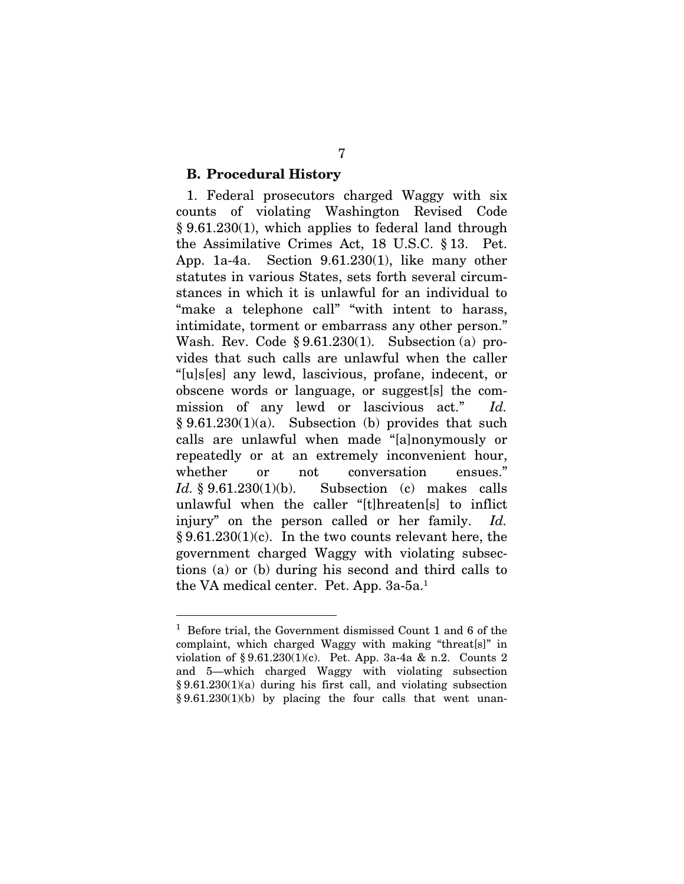#### B. Procedural History

1. Federal prosecutors charged Waggy with six counts of violating Washington Revised Code § 9.61.230(1), which applies to federal land through the Assimilative Crimes Act, 18 U.S.C. § 13. Pet. App. 1a-4a. Section 9.61.230(1), like many other statutes in various States, sets forth several circumstances in which it is unlawful for an individual to "make a telephone call" "with intent to harass, intimidate, torment or embarrass any other person." Wash. Rev. Code § 9.61.230(1). Subsection (a) provides that such calls are unlawful when the caller "[u]s[es] any lewd, lascivious, profane, indecent, or obscene words or language, or suggest[s] the commission of any lewd or lascivious act." *Id.*   $§ 9.61.230(1)(a)$ . Subsection (b) provides that such calls are unlawful when made "[a]nonymously or repeatedly or at an extremely inconvenient hour, whether or not conversation ensues." *Id.* § 9.61.230(1)(b). Subsection (c) makes calls unlawful when the caller "[t]hreaten[s] to inflict injury" on the person called or her family. *Id.*   $§ 9.61.230(1)(c)$ . In the two counts relevant here, the government charged Waggy with violating subsections (a) or (b) during his second and third calls to the VA medical center. Pet. App. 3a-5a.<sup>1</sup>

<sup>&</sup>lt;sup>1</sup> Before trial, the Government dismissed Count 1 and 6 of the complaint, which charged Waggy with making "threat[s]" in violation of § 9.61.230(1)(c). Pet. App. 3a-4a & n.2. Counts 2 and 5—which charged Waggy with violating subsection  $§ 9.61.230(1)(a)$  during his first call, and violating subsection § 9.61.230(1)(b) by placing the four calls that went unan-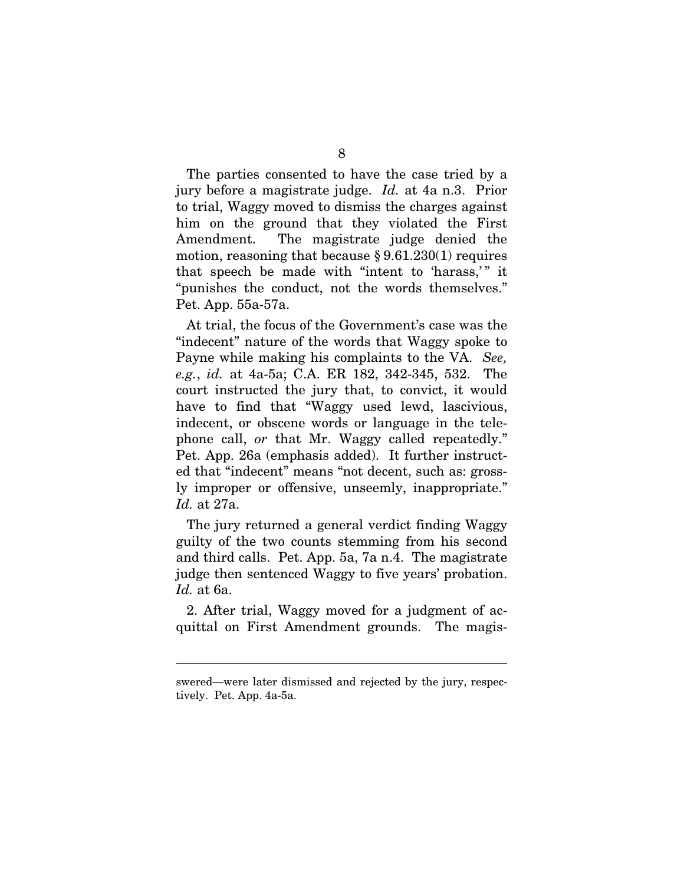The parties consented to have the case tried by a jury before a magistrate judge. *Id.* at 4a n.3. Prior to trial, Waggy moved to dismiss the charges against him on the ground that they violated the First Amendment. The magistrate judge denied the motion, reasoning that because  $\S 9.61.230(1)$  requires that speech be made with "intent to 'harass,'" it "punishes the conduct, not the words themselves." Pet. App. 55a-57a.

At trial, the focus of the Government's case was the "indecent" nature of the words that Waggy spoke to Payne while making his complaints to the VA. *See, e.g.*, *id.* at 4a-5a; C.A. ER 182, 342-345, 532. The court instructed the jury that, to convict, it would have to find that "Waggy used lewd, lascivious, indecent, or obscene words or language in the telephone call, *or* that Mr. Waggy called repeatedly." Pet. App. 26a (emphasis added). It further instructed that "indecent" means "not decent, such as: grossly improper or offensive, unseemly, inappropriate." *Id.* at 27a.

The jury returned a general verdict finding Waggy guilty of the two counts stemming from his second and third calls. Pet. App. 5a, 7a n.4. The magistrate judge then sentenced Waggy to five years' probation. *Id.* at 6a.

2. After trial, Waggy moved for a judgment of acquittal on First Amendment grounds. The magis-

swered—were later dismissed and rejected by the jury, respectively. Pet. App. 4a-5a.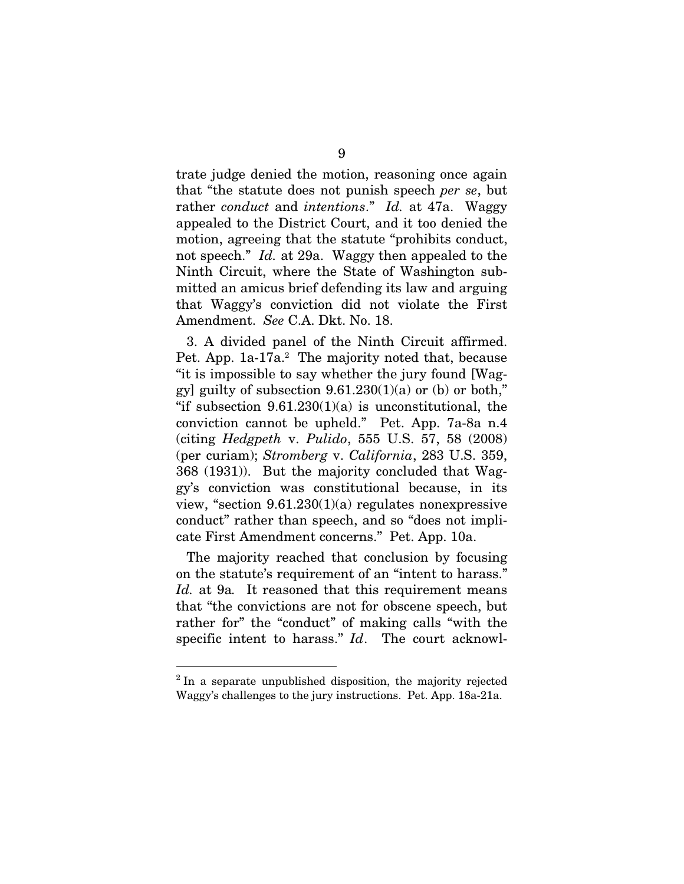trate judge denied the motion, reasoning once again that "the statute does not punish speech *per se*, but rather *conduct* and *intentions*." *Id.* at 47a. Waggy appealed to the District Court, and it too denied the motion, agreeing that the statute "prohibits conduct, not speech." *Id.* at 29a. Waggy then appealed to the Ninth Circuit, where the State of Washington submitted an amicus brief defending its law and arguing that Waggy's conviction did not violate the First Amendment. *See* C.A. Dkt. No. 18.

3. A divided panel of the Ninth Circuit affirmed. Pet. App. 1a-17a.<sup>2</sup> The majority noted that, because "it is impossible to say whether the jury found [Waggy] guilty of subsection  $9.61.230(1)(a)$  or (b) or both," "if subsection  $9.61.230(1)(a)$  is unconstitutional, the conviction cannot be upheld." Pet. App. 7a-8a n.4 (citing *Hedgpeth* v. *Pulido*, 555 U.S. 57, 58 (2008) (per curiam); *Stromberg* v. *California*, 283 U.S. 359, 368 (1931)). But the majority concluded that Waggy's conviction was constitutional because, in its view, "section  $9.61.230(1)(a)$  regulates nonexpressive conduct" rather than speech, and so "does not implicate First Amendment concerns." Pet. App. 10a.

The majority reached that conclusion by focusing on the statute's requirement of an "intent to harass." *Id.* at 9a*.* It reasoned that this requirement means that "the convictions are not for obscene speech, but rather for" the "conduct" of making calls "with the specific intent to harass." *Id*. The court acknowl-

<sup>&</sup>lt;sup>2</sup> In a separate unpublished disposition, the majority rejected Waggy's challenges to the jury instructions. Pet. App. 18a-21a.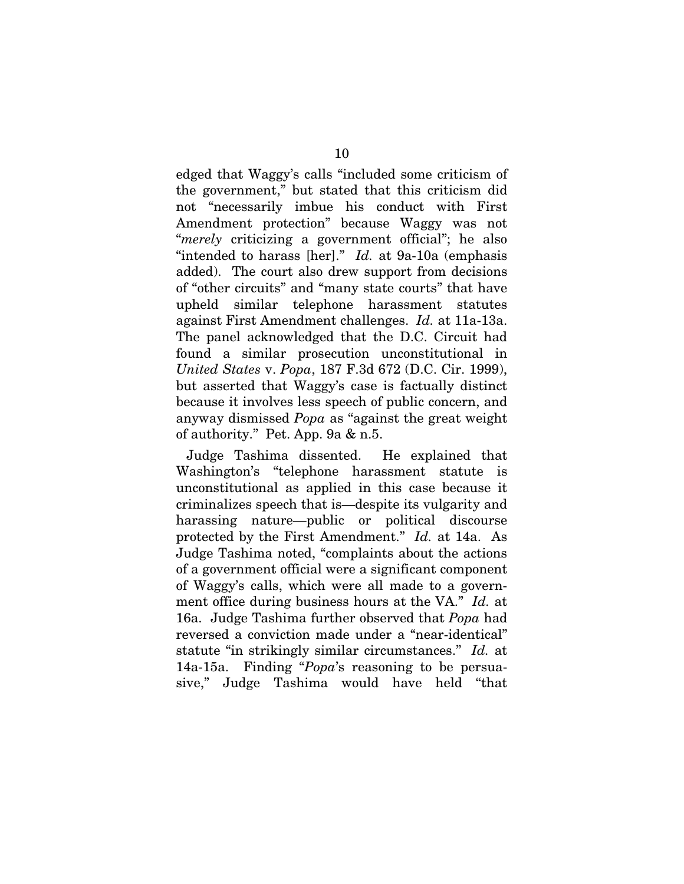edged that Waggy's calls "included some criticism of the government," but stated that this criticism did not "necessarily imbue his conduct with First Amendment protection" because Waggy was not "*merely* criticizing a government official"; he also "intended to harass [her]." *Id.* at 9a-10a (emphasis added). The court also drew support from decisions of "other circuits" and "many state courts" that have upheld similar telephone harassment statutes against First Amendment challenges. *Id.* at 11a-13a. The panel acknowledged that the D.C. Circuit had found a similar prosecution unconstitutional in *United States* v. *Popa*, 187 F.3d 672 (D.C. Cir. 1999), but asserted that Waggy's case is factually distinct because it involves less speech of public concern, and anyway dismissed *Popa* as "against the great weight of authority." Pet. App. 9a & n.5.

Judge Tashima dissented. He explained that Washington's "telephone harassment statute is unconstitutional as applied in this case because it criminalizes speech that is—despite its vulgarity and harassing nature—public or political discourse protected by the First Amendment." *Id.* at 14a. As Judge Tashima noted, "complaints about the actions of a government official were a significant component of Waggy's calls, which were all made to a government office during business hours at the VA." *Id.* at 16a. Judge Tashima further observed that *Popa* had reversed a conviction made under a "near-identical" statute "in strikingly similar circumstances." *Id.* at 14a-15a. Finding "*Popa*'s reasoning to be persuasive," Judge Tashima would have held "that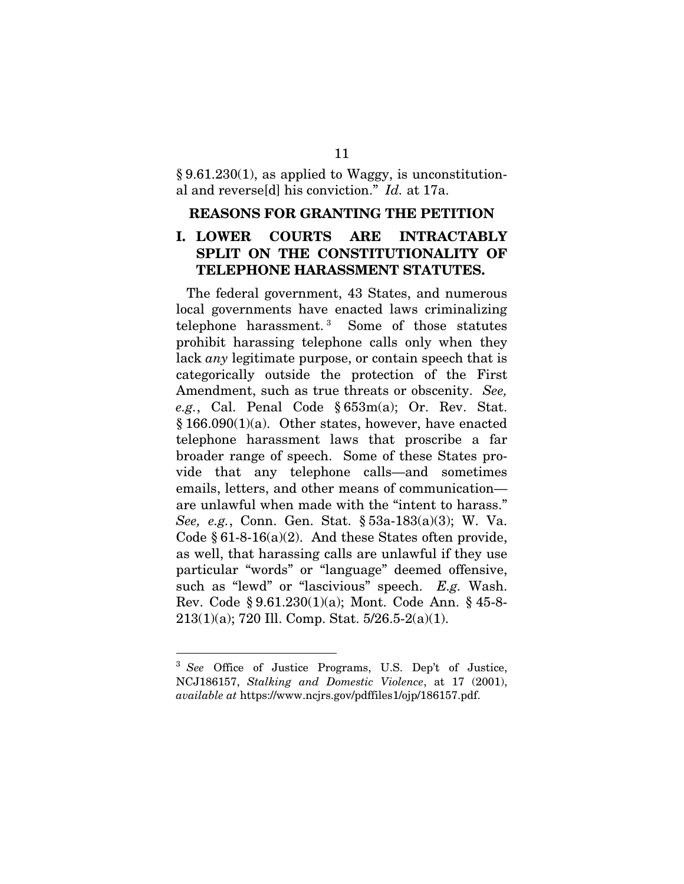§ 9.61.230(1), as applied to Waggy, is unconstitutional and reverse[d] his conviction." *Id.* at 17a.

#### REASONS FOR GRANTING THE PETITION

### I. LOWER COURTS ARE INTRACTABLY SPLIT ON THE CONSTITUTIONALITY OF TELEPHONE HARASSMENT STATUTES.

The federal government, 43 States, and numerous local governments have enacted laws criminalizing telephone harassment. <sup>3</sup> Some of those statutes prohibit harassing telephone calls only when they lack *any* legitimate purpose, or contain speech that is categorically outside the protection of the First Amendment, such as true threats or obscenity. *See, e.g.*, Cal. Penal Code § 653m(a); Or. Rev. Stat. § 166.090(1)(a). Other states, however, have enacted telephone harassment laws that proscribe a far broader range of speech. Some of these States provide that any telephone calls—and sometimes emails, letters, and other means of communication are unlawful when made with the "intent to harass." *See, e.g.*, Conn. Gen. Stat. § 53a-183(a)(3); W. Va. Code  $§ 61-8-16(a)(2)$ . And these States often provide, as well, that harassing calls are unlawful if they use particular "words" or "language" deemed offensive, such as "lewd" or "lascivious" speech. *E.g.* Wash. Rev. Code § 9.61.230(1)(a); Mont. Code Ann. § 45-8- 213(1)(a); 720 Ill. Comp. Stat. 5/26.5-2(a)(1).

<sup>3</sup> *See* Office of Justice Programs, U.S. Dep't of Justice, NCJ186157, *Stalking and Domestic Violence*, at 17 (2001), *available at* https://www.ncjrs.gov/pdffiles1/ojp/186157.pdf.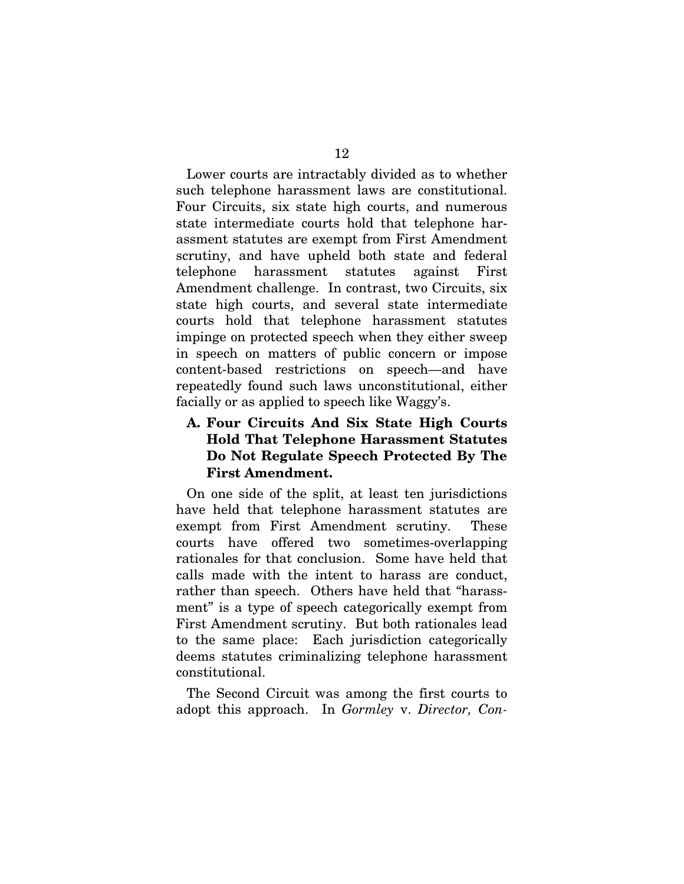Lower courts are intractably divided as to whether such telephone harassment laws are constitutional. Four Circuits, six state high courts, and numerous state intermediate courts hold that telephone harassment statutes are exempt from First Amendment scrutiny, and have upheld both state and federal telephone harassment statutes against First Amendment challenge. In contrast, two Circuits, six state high courts, and several state intermediate courts hold that telephone harassment statutes impinge on protected speech when they either sweep in speech on matters of public concern or impose content-based restrictions on speech—and have repeatedly found such laws unconstitutional, either facially or as applied to speech like Waggy's.

## A. Four Circuits And Six State High Courts Hold That Telephone Harassment Statutes Do Not Regulate Speech Protected By The First Amendment.

On one side of the split, at least ten jurisdictions have held that telephone harassment statutes are exempt from First Amendment scrutiny. These courts have offered two sometimes-overlapping rationales for that conclusion. Some have held that calls made with the intent to harass are conduct, rather than speech. Others have held that "harassment" is a type of speech categorically exempt from First Amendment scrutiny. But both rationales lead to the same place: Each jurisdiction categorically deems statutes criminalizing telephone harassment constitutional.

The Second Circuit was among the first courts to adopt this approach. In *Gormley* v. *Director, Con-*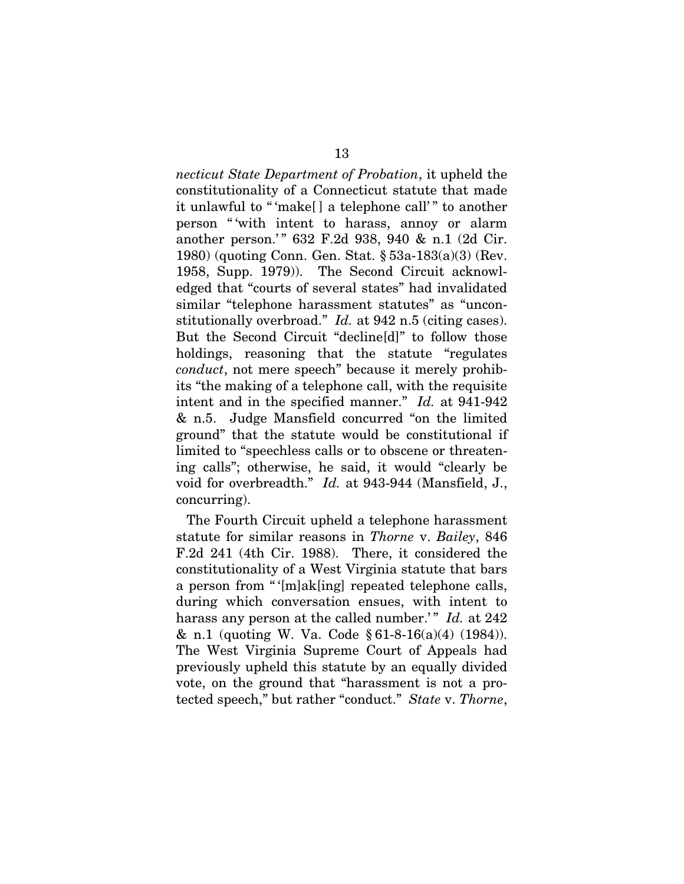*necticut State Department of Probation*, it upheld the constitutionality of a Connecticut statute that made it unlawful to " 'make[ ] a telephone call' " to another person " 'with intent to harass, annoy or alarm another person.'" 632 F.2d 938, 940 & n.1 (2d Cir. 1980) (quoting Conn. Gen. Stat. § 53a-183(a)(3) (Rev. 1958, Supp. 1979)). The Second Circuit acknowledged that "courts of several states" had invalidated similar "telephone harassment statutes" as "unconstitutionally overbroad." *Id.* at 942 n.5 (citing cases). But the Second Circuit "decline[d]" to follow those holdings, reasoning that the statute "regulates *conduct*, not mere speech" because it merely prohibits "the making of a telephone call, with the requisite intent and in the specified manner." *Id.* at 941-942 & n.5. Judge Mansfield concurred "on the limited ground" that the statute would be constitutional if limited to "speechless calls or to obscene or threatening calls"; otherwise, he said, it would "clearly be void for overbreadth." *Id.* at 943-944 (Mansfield, J., concurring).

The Fourth Circuit upheld a telephone harassment statute for similar reasons in *Thorne* v. *Bailey*, 846 F.2d 241 (4th Cir. 1988). There, it considered the constitutionality of a West Virginia statute that bars a person from "' $[m]$ ak[ing] repeated telephone calls, during which conversation ensues, with intent to harass any person at the called number.'" *Id.* at 242 & n.1 (quoting W. Va. Code  $\S 61-8-16(a)(4)$  (1984)). The West Virginia Supreme Court of Appeals had previously upheld this statute by an equally divided vote, on the ground that "harassment is not a protected speech," but rather "conduct." *State* v. *Thorne*,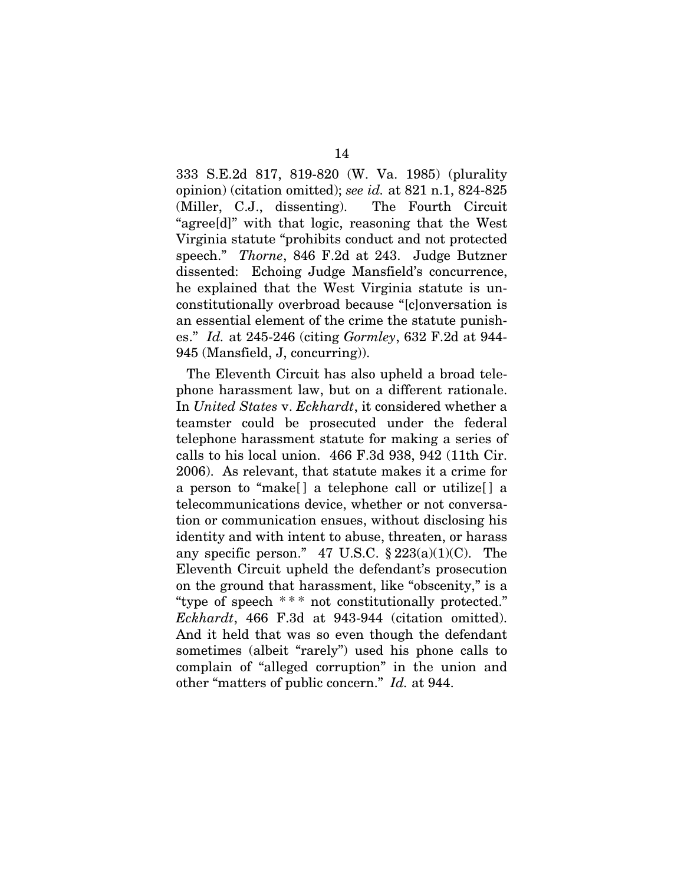333 S.E.2d 817, 819-820 (W. Va. 1985) (plurality opinion) (citation omitted); *see id.* at 821 n.1, 824-825 (Miller, C.J., dissenting). The Fourth Circuit "agree[d]" with that logic, reasoning that the West Virginia statute "prohibits conduct and not protected speech." *Thorne*, 846 F.2d at 243. Judge Butzner dissented: Echoing Judge Mansfield's concurrence, he explained that the West Virginia statute is unconstitutionally overbroad because "[c]onversation is an essential element of the crime the statute punishes." *Id.* at 245-246 (citing *Gormley*, 632 F.2d at 944- 945 (Mansfield, J, concurring)).

The Eleventh Circuit has also upheld a broad telephone harassment law, but on a different rationale. In *United States* v. *Eckhardt*, it considered whether a teamster could be prosecuted under the federal telephone harassment statute for making a series of calls to his local union. 466 F.3d 938, 942 (11th Cir. 2006). As relevant, that statute makes it a crime for a person to "make[ ] a telephone call or utilize[ ] a telecommunications device, whether or not conversation or communication ensues, without disclosing his identity and with intent to abuse, threaten, or harass any specific person." 47 U.S.C.  $\S 223(a)(1)(C)$ . The Eleventh Circuit upheld the defendant's prosecution on the ground that harassment, like "obscenity," is a "type of speech \*\*\* not constitutionally protected." *Eckhardt*, 466 F.3d at 943-944 (citation omitted). And it held that was so even though the defendant sometimes (albeit "rarely") used his phone calls to complain of "alleged corruption" in the union and other "matters of public concern." *Id.* at 944.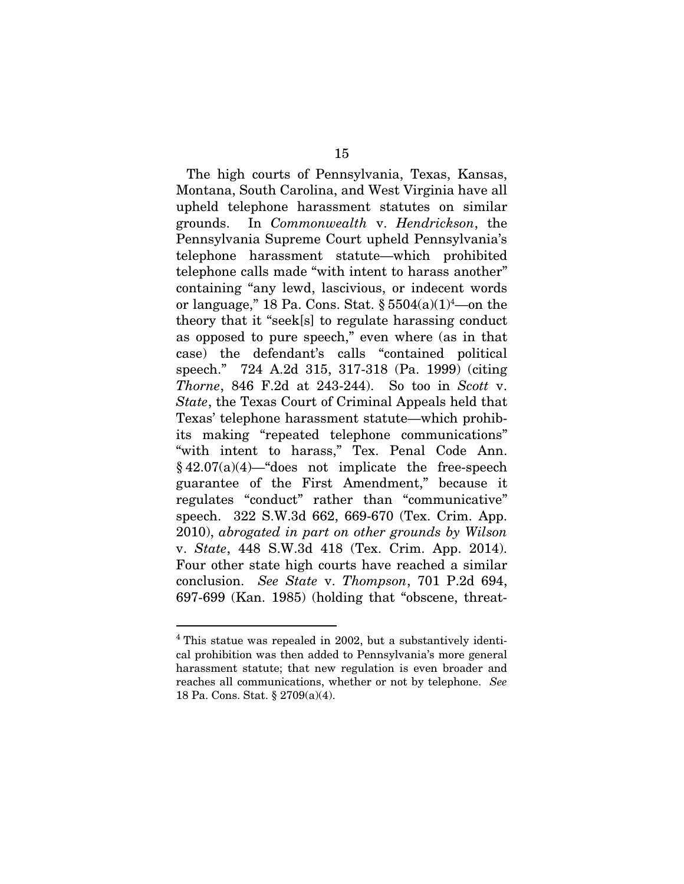The high courts of Pennsylvania, Texas, Kansas, Montana, South Carolina, and West Virginia have all upheld telephone harassment statutes on similar grounds. In *Commonwealth* v. *Hendrickson*, the Pennsylvania Supreme Court upheld Pennsylvania's telephone harassment statute—which prohibited telephone calls made "with intent to harass another" containing "any lewd, lascivious, or indecent words or language," 18 Pa. Cons. Stat.  $\S 5504(a)(1)^4$ —on the theory that it "seek[s] to regulate harassing conduct as opposed to pure speech," even where (as in that case) the defendant's calls "contained political speech." 724 A.2d 315, 317-318 (Pa. 1999) (citing *Thorne*, 846 F.2d at 243-244). So too in *Scott* v. *State*, the Texas Court of Criminal Appeals held that Texas' telephone harassment statute—which prohibits making "repeated telephone communications" "with intent to harass," Tex. Penal Code Ann.  $§ 42.07(a)(4)$ —"does not implicate the free-speech guarantee of the First Amendment," because it regulates "conduct" rather than "communicative" speech. 322 S.W.3d 662, 669-670 (Tex. Crim. App. 2010), *abrogated in part on other grounds by Wilson*  v. *State*, 448 S.W.3d 418 (Tex. Crim. App. 2014). Four other state high courts have reached a similar conclusion. *See State* v. *Thompson*, 701 P.2d 694, 697-699 (Kan. 1985) (holding that "obscene, threat-

<sup>4</sup> This statue was repealed in 2002, but a substantively identical prohibition was then added to Pennsylvania's more general harassment statute; that new regulation is even broader and reaches all communications, whether or not by telephone. *See*  18 Pa. Cons. Stat. § 2709(a)(4).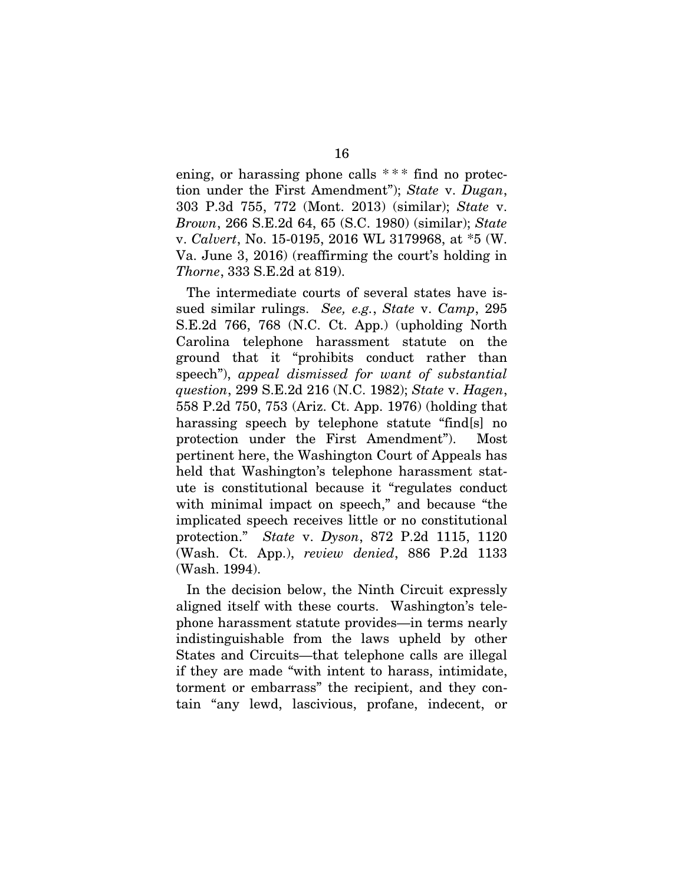ening, or harassing phone calls  $***$  find no protection under the First Amendment"); *State* v. *Dugan*, 303 P.3d 755, 772 (Mont. 2013) (similar); *State* v. *Brown*, 266 S.E.2d 64, 65 (S.C. 1980) (similar); *State*  v. *Calvert*, No. 15-0195, 2016 WL 3179968, at \*5 (W. Va. June 3, 2016) (reaffirming the court's holding in *Thorne*, 333 S.E.2d at 819).

The intermediate courts of several states have issued similar rulings. *See, e.g.*, *State* v. *Camp*, 295 S.E.2d 766, 768 (N.C. Ct. App.) (upholding North Carolina telephone harassment statute on the ground that it "prohibits conduct rather than speech"), *appeal dismissed for want of substantial question*, 299 S.E.2d 216 (N.C. 1982); *State* v. *Hagen*, 558 P.2d 750, 753 (Ariz. Ct. App. 1976) (holding that harassing speech by telephone statute "find[s] no protection under the First Amendment"). Most pertinent here, the Washington Court of Appeals has held that Washington's telephone harassment statute is constitutional because it "regulates conduct with minimal impact on speech," and because "the implicated speech receives little or no constitutional protection." *State* v. *Dyson*, 872 P.2d 1115, 1120 (Wash. Ct. App.), *review denied*, 886 P.2d 1133 (Wash. 1994).

In the decision below, the Ninth Circuit expressly aligned itself with these courts. Washington's telephone harassment statute provides—in terms nearly indistinguishable from the laws upheld by other States and Circuits—that telephone calls are illegal if they are made "with intent to harass, intimidate, torment or embarrass" the recipient, and they contain "any lewd, lascivious, profane, indecent, or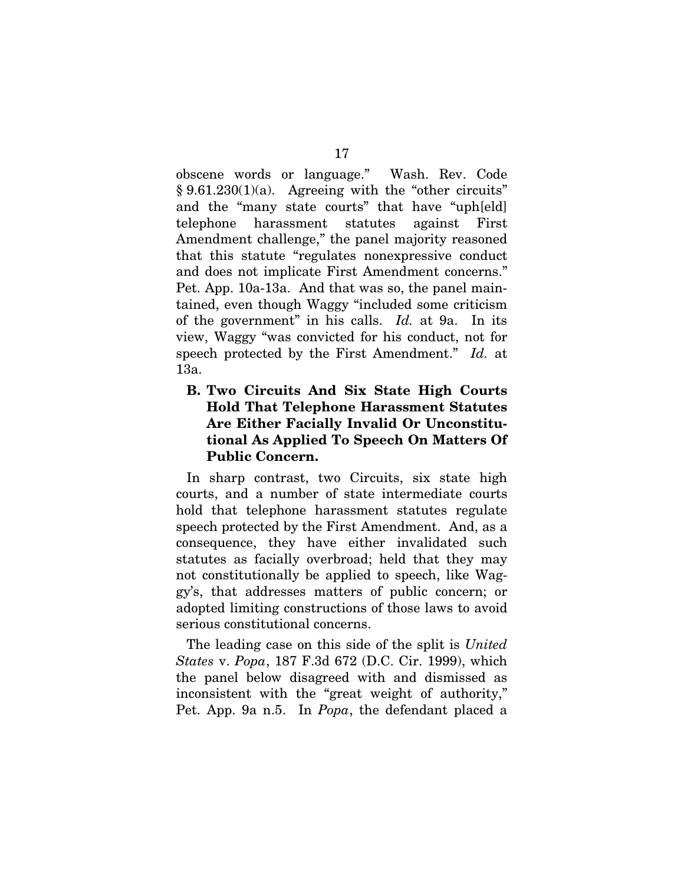obscene words or language." Wash. Rev. Code  $§ 9.61.230(1)(a)$ . Agreeing with the "other circuits" and the "many state courts" that have "uph[eld] telephone harassment statutes against First Amendment challenge," the panel majority reasoned that this statute "regulates nonexpressive conduct and does not implicate First Amendment concerns." Pet. App. 10a-13a. And that was so, the panel maintained, even though Waggy "included some criticism of the government" in his calls. *Id.* at 9a. In its view, Waggy "was convicted for his conduct, not for speech protected by the First Amendment." *Id.* at 13a.

## B. Two Circuits And Six State High Courts Hold That Telephone Harassment Statutes Are Either Facially Invalid Or Unconstitutional As Applied To Speech On Matters Of Public Concern.

In sharp contrast, two Circuits, six state high courts, and a number of state intermediate courts hold that telephone harassment statutes regulate speech protected by the First Amendment. And, as a consequence, they have either invalidated such statutes as facially overbroad; held that they may not constitutionally be applied to speech, like Waggy's, that addresses matters of public concern; or adopted limiting constructions of those laws to avoid serious constitutional concerns.

The leading case on this side of the split is *United States* v. *Popa*, 187 F.3d 672 (D.C. Cir. 1999), which the panel below disagreed with and dismissed as inconsistent with the "great weight of authority," Pet. App. 9a n.5. In *Popa*, the defendant placed a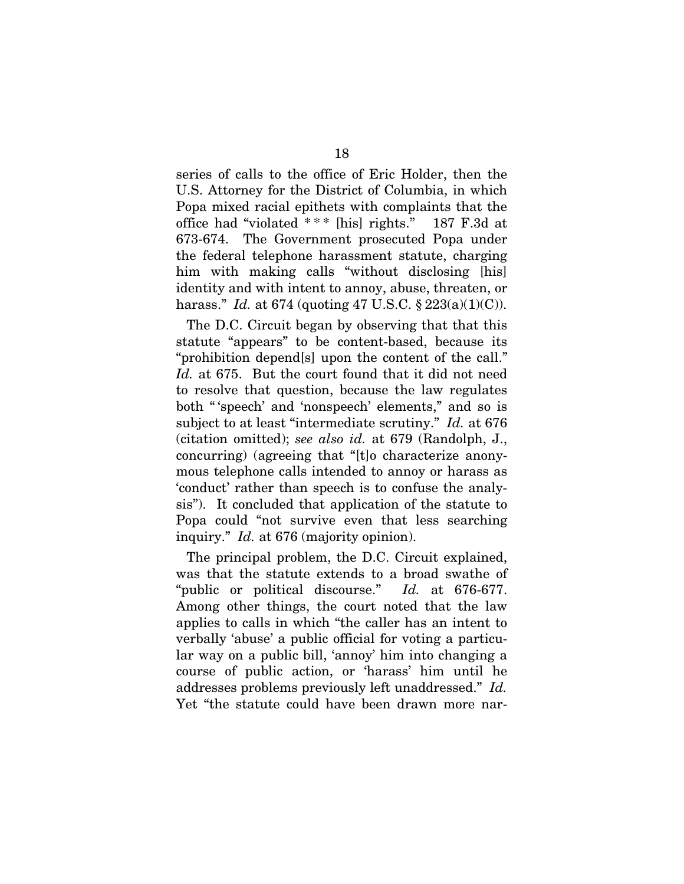series of calls to the office of Eric Holder, then the U.S. Attorney for the District of Columbia, in which Popa mixed racial epithets with complaints that the office had "violated  $***$  [his] rights." 187 F.3d at 673-674. The Government prosecuted Popa under the federal telephone harassment statute, charging him with making calls "without disclosing [his] identity and with intent to annoy, abuse, threaten, or harass." *Id.* at 674 (quoting 47 U.S.C. § 223(a)(1)(C)).

The D.C. Circuit began by observing that that this statute "appears" to be content-based, because its "prohibition depend[s] upon the content of the call." *Id.* at 675. But the court found that it did not need to resolve that question, because the law regulates both " 'speech' and 'nonspeech' elements," and so is subject to at least "intermediate scrutiny." *Id.* at 676 (citation omitted); *see also id.* at 679 (Randolph, J., concurring) (agreeing that "[t]o characterize anonymous telephone calls intended to annoy or harass as 'conduct' rather than speech is to confuse the analysis"). It concluded that application of the statute to Popa could "not survive even that less searching inquiry." *Id.* at 676 (majority opinion).

The principal problem, the D.C. Circuit explained, was that the statute extends to a broad swathe of "public or political discourse." *Id.* at 676-677. Among other things, the court noted that the law applies to calls in which "the caller has an intent to verbally 'abuse' a public official for voting a particular way on a public bill, 'annoy' him into changing a course of public action, or 'harass' him until he addresses problems previously left unaddressed." *Id.* Yet "the statute could have been drawn more nar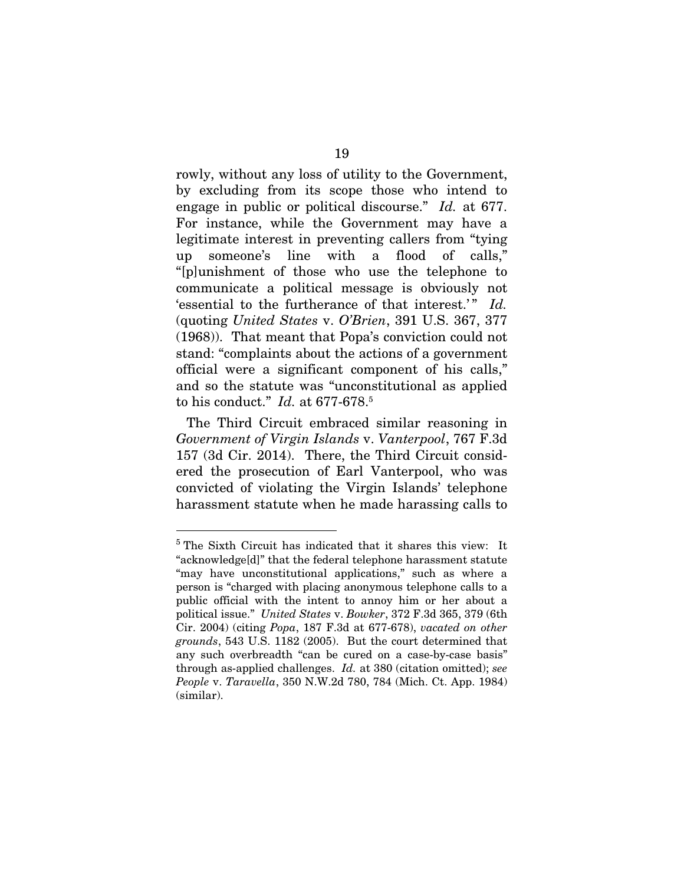rowly, without any loss of utility to the Government, by excluding from its scope those who intend to engage in public or political discourse." *Id.* at 677. For instance, while the Government may have a legitimate interest in preventing callers from "tying up someone's line with a flood of calls," "[p]unishment of those who use the telephone to communicate a political message is obviously not 'essential to the furtherance of that interest.'" *Id.*  (quoting *United States* v. *O'Brien*, 391 U.S. 367, 377 (1968)). That meant that Popa's conviction could not stand: "complaints about the actions of a government official were a significant component of his calls," and so the statute was "unconstitutional as applied to his conduct." *Id.* at 677-678.<sup>5</sup>

The Third Circuit embraced similar reasoning in *Government of Virgin Islands* v. *Vanterpool*, 767 F.3d 157 (3d Cir. 2014). There, the Third Circuit considered the prosecution of Earl Vanterpool, who was convicted of violating the Virgin Islands' telephone harassment statute when he made harassing calls to

<sup>&</sup>lt;sup>5</sup> The Sixth Circuit has indicated that it shares this view: It "acknowledge[d]" that the federal telephone harassment statute "may have unconstitutional applications," such as where a person is "charged with placing anonymous telephone calls to a public official with the intent to annoy him or her about a political issue." *United States* v. *Bowker*, 372 F.3d 365, 379 (6th Cir. 2004) (citing *Popa*, 187 F.3d at 677-678), *vacated on other grounds*, 543 U.S. 1182 (2005). But the court determined that any such overbreadth "can be cured on a case-by-case basis" through as-applied challenges. *Id.* at 380 (citation omitted); *see People* v. *Taravella*, 350 N.W.2d 780, 784 (Mich. Ct. App. 1984) (similar).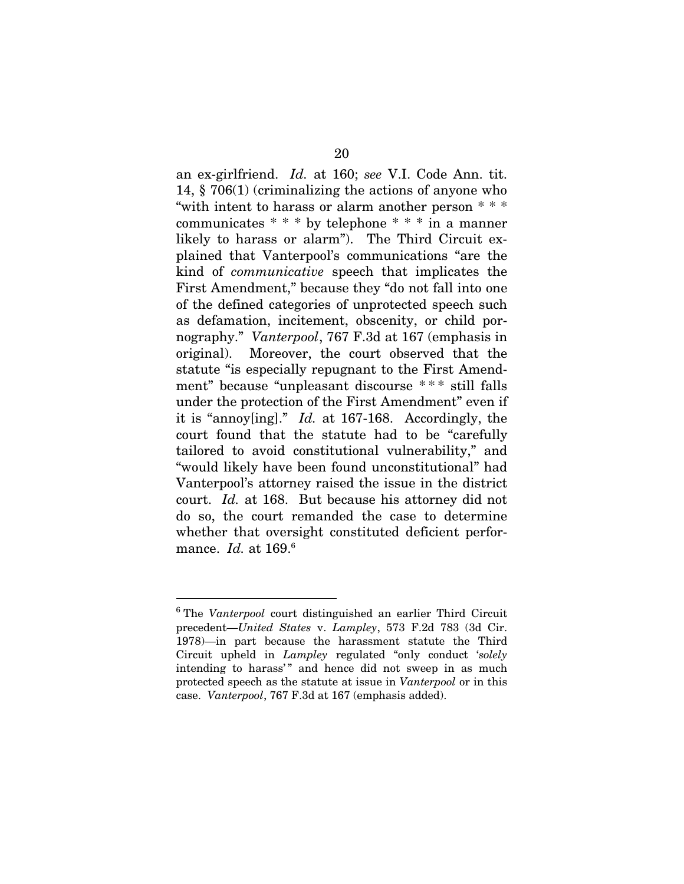an ex-girlfriend. *Id.* at 160; *see* V.I. Code Ann. tit. 14, § 706(1) (criminalizing the actions of anyone who "with intent to harass or alarm another person \* \* \* communicates \* \* \* by telephone \* \* \* in a manner likely to harass or alarm"). The Third Circuit explained that Vanterpool's communications "are the kind of *communicative* speech that implicates the First Amendment," because they "do not fall into one of the defined categories of unprotected speech such as defamation, incitement, obscenity, or child pornography." *Vanterpool*, 767 F.3d at 167 (emphasis in original). Moreover, the court observed that the statute "is especially repugnant to the First Amendment" because "unpleasant discourse \* \* \* still falls under the protection of the First Amendment" even if it is "annoy[ing]." *Id.* at 167-168. Accordingly, the court found that the statute had to be "carefully tailored to avoid constitutional vulnerability," and "would likely have been found unconstitutional" had Vanterpool's attorney raised the issue in the district court. *Id.* at 168. But because his attorney did not do so, the court remanded the case to determine whether that oversight constituted deficient performance. *Id.* at 169.<sup>6</sup>

<sup>6</sup> The *Vanterpool* court distinguished an earlier Third Circuit precedent—*United States* v. *Lampley*, 573 F.2d 783 (3d Cir. 1978)—in part because the harassment statute the Third Circuit upheld in *Lampley* regulated "only conduct '*solely* intending to harass'" and hence did not sweep in as much protected speech as the statute at issue in *Vanterpool* or in this case. *Vanterpool*, 767 F.3d at 167 (emphasis added).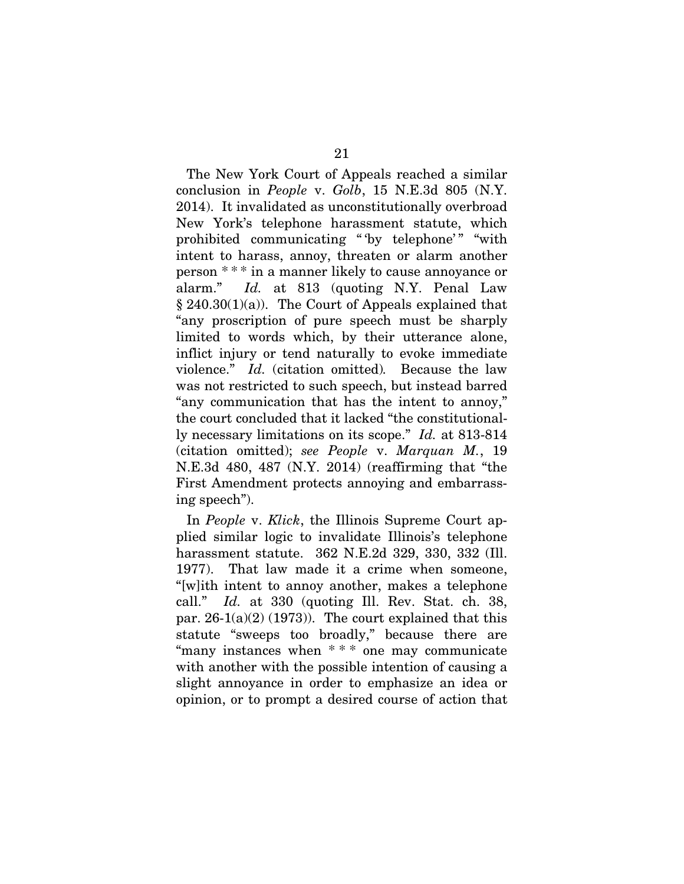The New York Court of Appeals reached a similar conclusion in *People* v. *Golb*, 15 N.E.3d 805 (N.Y. 2014). It invalidated as unconstitutionally overbroad New York's telephone harassment statute, which prohibited communicating "by telephone'" "with intent to harass, annoy, threaten or alarm another person \* \* \* in a manner likely to cause annoyance or alarm." *Id.* at 813 (quoting N.Y. Penal Law  $§ 240.30(1)(a)$ . The Court of Appeals explained that "any proscription of pure speech must be sharply limited to words which, by their utterance alone, inflict injury or tend naturally to evoke immediate violence." *Id.* (citation omitted)*.* Because the law was not restricted to such speech, but instead barred "any communication that has the intent to annoy," the court concluded that it lacked "the constitutionally necessary limitations on its scope." *Id.* at 813-814 (citation omitted); *see People* v. *Marquan M.*, 19 N.E.3d 480, 487 (N.Y. 2014) (reaffirming that "the First Amendment protects annoying and embarrassing speech").

In *People* v. *Klick*, the Illinois Supreme Court applied similar logic to invalidate Illinois's telephone harassment statute. 362 N.E.2d 329, 330, 332 (Ill. 1977). That law made it a crime when someone, "[w]ith intent to annoy another, makes a telephone call." *Id.* at 330 (quoting Ill. Rev. Stat. ch. 38, par.  $26-1(a)(2)$  (1973)). The court explained that this statute "sweeps too broadly," because there are "many instances when \* \* \* one may communicate with another with the possible intention of causing a slight annoyance in order to emphasize an idea or opinion, or to prompt a desired course of action that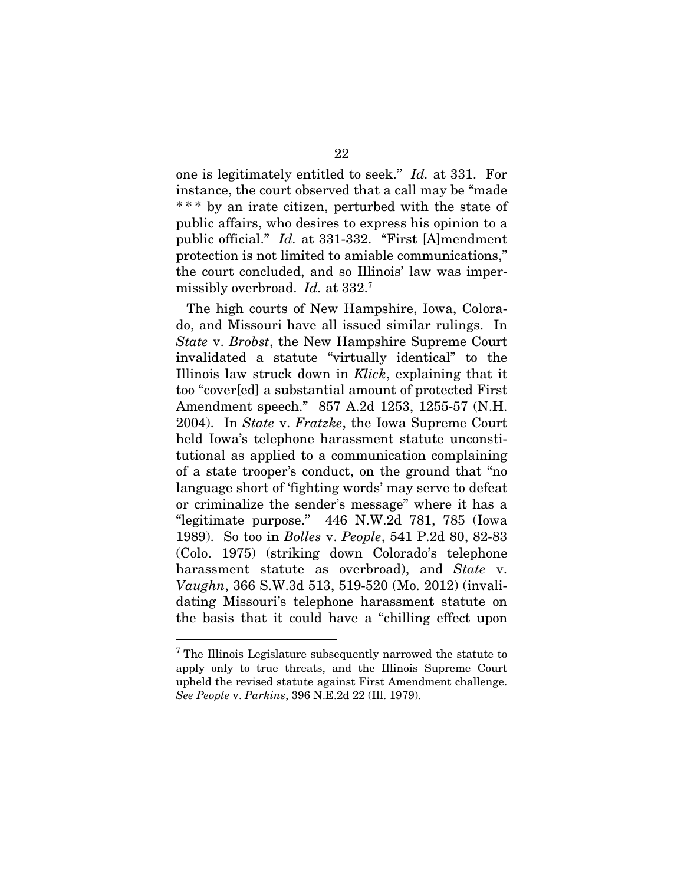one is legitimately entitled to seek." *Id.* at 331. For instance, the court observed that a call may be "made \* \* \* by an irate citizen, perturbed with the state of public affairs, who desires to express his opinion to a public official." *Id.* at 331-332. "First [A]mendment protection is not limited to amiable communications," the court concluded, and so Illinois' law was impermissibly overbroad. *Id.* at 332.<sup>7</sup>

The high courts of New Hampshire, Iowa, Colorado, and Missouri have all issued similar rulings. In *State* v. *Brobst*, the New Hampshire Supreme Court invalidated a statute "virtually identical" to the Illinois law struck down in *Klick*, explaining that it too "cover[ed] a substantial amount of protected First Amendment speech." 857 A.2d 1253, 1255-57 (N.H. 2004). In *State* v. *Fratzke*, the Iowa Supreme Court held Iowa's telephone harassment statute unconstitutional as applied to a communication complaining of a state trooper's conduct, on the ground that "no language short of 'fighting words' may serve to defeat or criminalize the sender's message" where it has a "legitimate purpose." 446 N.W.2d 781, 785 (Iowa 1989). So too in *Bolles* v. *People*, 541 P.2d 80, 82-83 (Colo. 1975) (striking down Colorado's telephone harassment statute as overbroad), and *State* v. *Vaughn*, 366 S.W.3d 513, 519-520 (Mo. 2012) (invalidating Missouri's telephone harassment statute on the basis that it could have a "chilling effect upon

<sup>&</sup>lt;sup>7</sup> The Illinois Legislature subsequently narrowed the statute to apply only to true threats, and the Illinois Supreme Court upheld the revised statute against First Amendment challenge. *See People* v. *Parkins*, 396 N.E.2d 22 (Ill. 1979).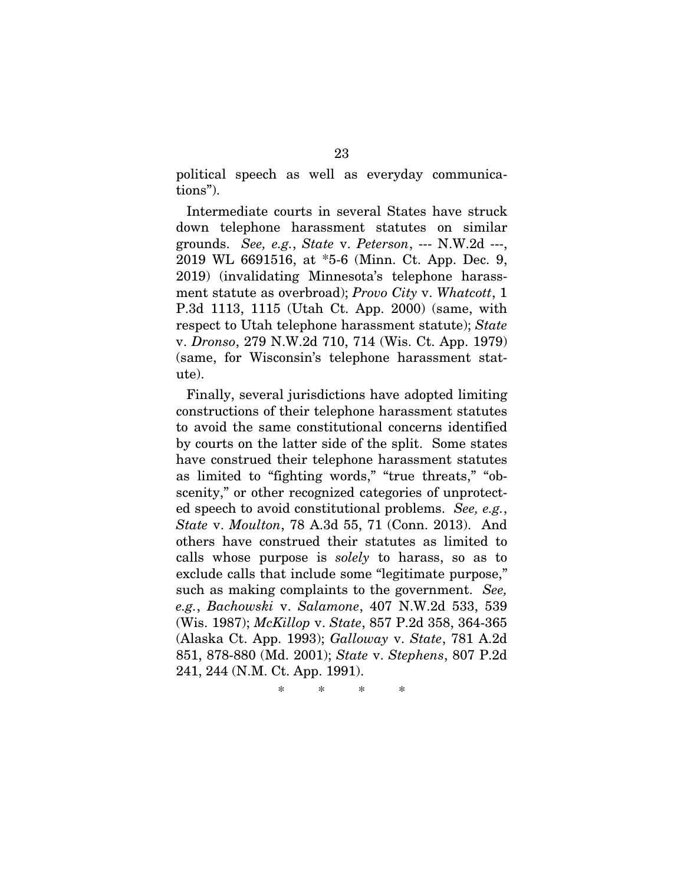political speech as well as everyday communications").

Intermediate courts in several States have struck down telephone harassment statutes on similar grounds. *See, e.g.*, *State* v. *Peterson*, --- N.W.2d ---, 2019 WL 6691516, at \*5-6 (Minn. Ct. App. Dec. 9, 2019) (invalidating Minnesota's telephone harassment statute as overbroad); *Provo City* v. *Whatcott*, 1 P.3d 1113, 1115 (Utah Ct. App. 2000) (same, with respect to Utah telephone harassment statute); *State*  v. *Dronso*, 279 N.W.2d 710, 714 (Wis. Ct. App. 1979) (same, for Wisconsin's telephone harassment statute).

Finally, several jurisdictions have adopted limiting constructions of their telephone harassment statutes to avoid the same constitutional concerns identified by courts on the latter side of the split. Some states have construed their telephone harassment statutes as limited to "fighting words," "true threats," "obscenity," or other recognized categories of unprotected speech to avoid constitutional problems. *See, e.g.*, *State* v. *Moulton*, 78 A.3d 55, 71 (Conn. 2013). And others have construed their statutes as limited to calls whose purpose is *solely* to harass, so as to exclude calls that include some "legitimate purpose," such as making complaints to the government. *See, e.g.*, *Bachowski* v. *Salamone*, 407 N.W.2d 533, 539 (Wis. 1987); *McKillop* v. *State*, 857 P.2d 358, 364-365 (Alaska Ct. App. 1993); *Galloway* v. *State*, 781 A.2d 851, 878-880 (Md. 2001); *State* v. *Stephens*, 807 P.2d 241, 244 (N.M. Ct. App. 1991).

\* \* \* \*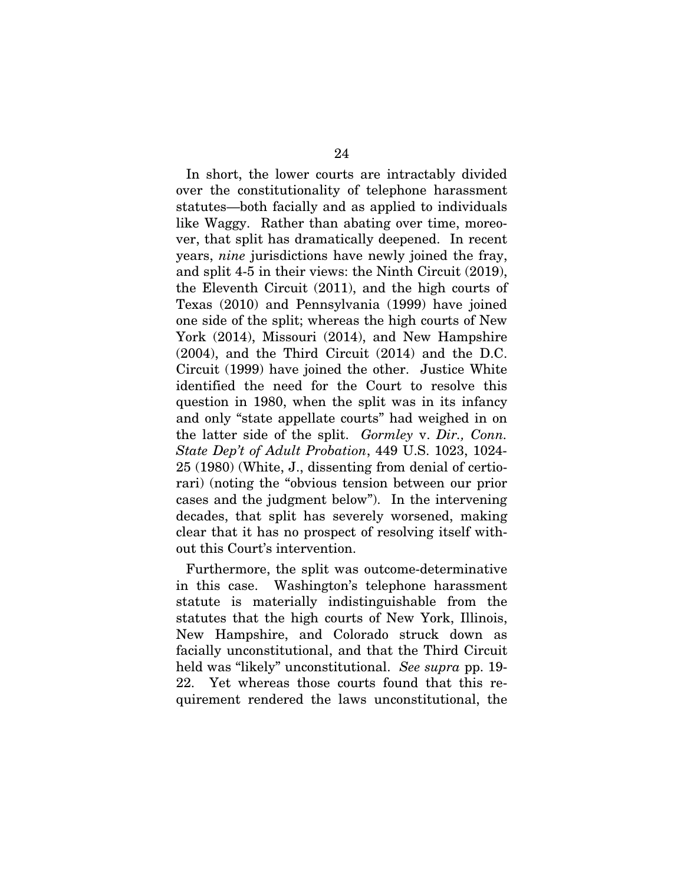In short, the lower courts are intractably divided over the constitutionality of telephone harassment statutes—both facially and as applied to individuals like Waggy. Rather than abating over time, moreover, that split has dramatically deepened. In recent years, *nine* jurisdictions have newly joined the fray, and split 4-5 in their views: the Ninth Circuit (2019), the Eleventh Circuit (2011), and the high courts of Texas (2010) and Pennsylvania (1999) have joined one side of the split; whereas the high courts of New York (2014), Missouri (2014), and New Hampshire (2004), and the Third Circuit (2014) and the D.C. Circuit (1999) have joined the other. Justice White identified the need for the Court to resolve this question in 1980, when the split was in its infancy and only "state appellate courts" had weighed in on the latter side of the split. *Gormley* v. *Dir., Conn. State Dep't of Adult Probation*, 449 U.S. 1023, 1024- 25 (1980) (White, J., dissenting from denial of certiorari) (noting the "obvious tension between our prior cases and the judgment below"). In the intervening decades, that split has severely worsened, making clear that it has no prospect of resolving itself without this Court's intervention.

Furthermore, the split was outcome-determinative in this case. Washington's telephone harassment statute is materially indistinguishable from the statutes that the high courts of New York, Illinois, New Hampshire, and Colorado struck down as facially unconstitutional, and that the Third Circuit held was "likely" unconstitutional. *See supra* pp. 19- 22. Yet whereas those courts found that this requirement rendered the laws unconstitutional, the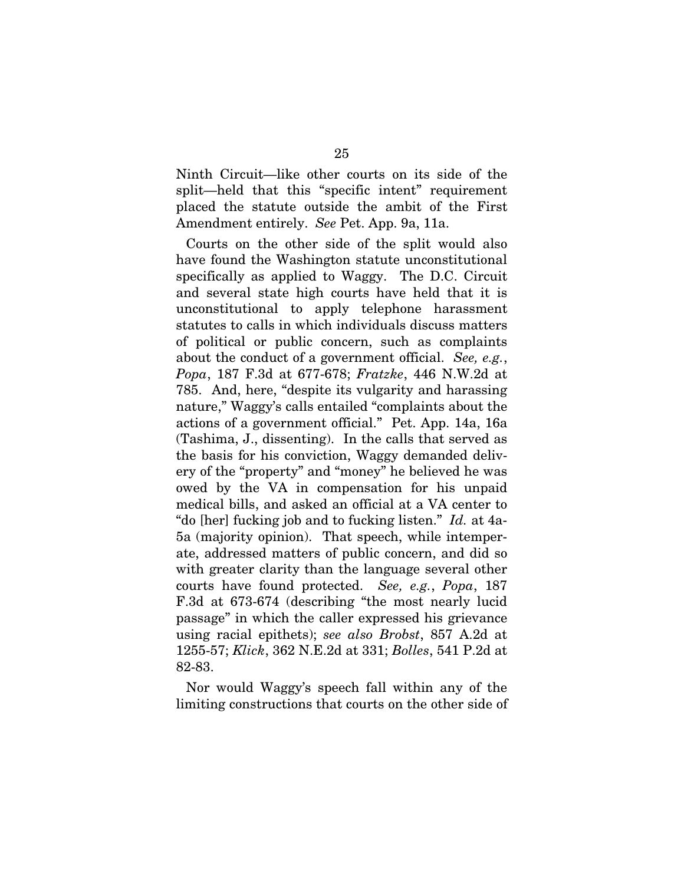Ninth Circuit—like other courts on its side of the split—held that this "specific intent" requirement placed the statute outside the ambit of the First Amendment entirely. *See* Pet. App. 9a, 11a.

Courts on the other side of the split would also have found the Washington statute unconstitutional specifically as applied to Waggy. The D.C. Circuit and several state high courts have held that it is unconstitutional to apply telephone harassment statutes to calls in which individuals discuss matters of political or public concern, such as complaints about the conduct of a government official. *See, e.g.*, *Popa*, 187 F.3d at 677-678; *Fratzke*, 446 N.W.2d at 785. And, here, "despite its vulgarity and harassing nature," Waggy's calls entailed "complaints about the actions of a government official." Pet. App. 14a, 16a (Tashima, J., dissenting). In the calls that served as the basis for his conviction, Waggy demanded delivery of the "property" and "money" he believed he was owed by the VA in compensation for his unpaid medical bills, and asked an official at a VA center to "do [her] fucking job and to fucking listen." *Id.* at 4a-5a (majority opinion). That speech, while intemperate, addressed matters of public concern, and did so with greater clarity than the language several other courts have found protected. *See, e.g.*, *Popa*, 187 F.3d at 673-674 (describing "the most nearly lucid passage" in which the caller expressed his grievance using racial epithets); *see also Brobst*, 857 A.2d at 1255-57; *Klick*, 362 N.E.2d at 331; *Bolles*, 541 P.2d at 82-83.

Nor would Waggy's speech fall within any of the limiting constructions that courts on the other side of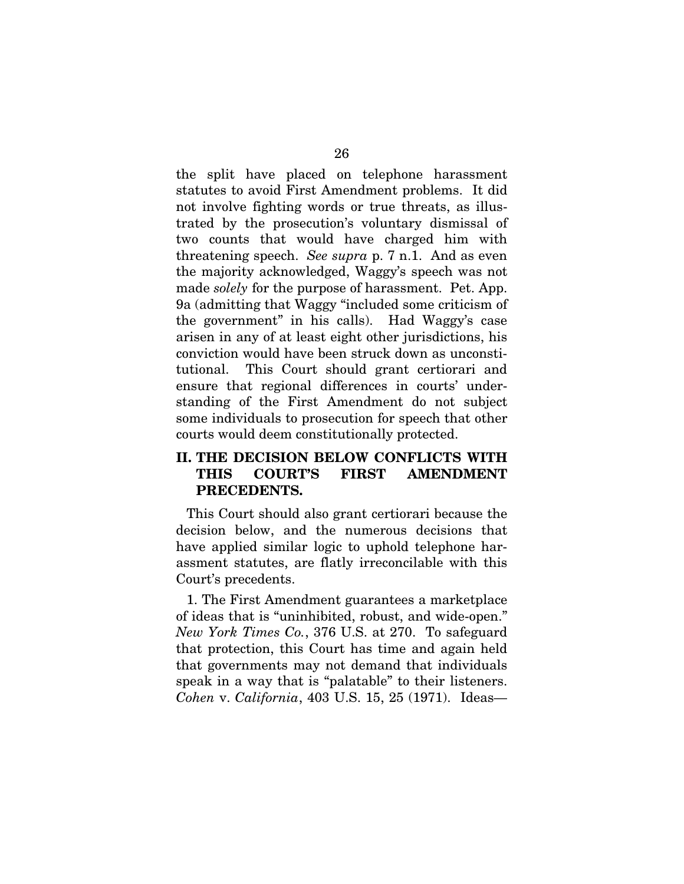the split have placed on telephone harassment statutes to avoid First Amendment problems. It did not involve fighting words or true threats, as illustrated by the prosecution's voluntary dismissal of two counts that would have charged him with threatening speech. *See supra* p. 7 n.1. And as even the majority acknowledged, Waggy's speech was not made *solely* for the purpose of harassment. Pet. App. 9a (admitting that Waggy "included some criticism of the government" in his calls). Had Waggy's case arisen in any of at least eight other jurisdictions, his conviction would have been struck down as unconstitutional. This Court should grant certiorari and ensure that regional differences in courts' understanding of the First Amendment do not subject some individuals to prosecution for speech that other courts would deem constitutionally protected.

### II. THE DECISION BELOW CONFLICTS WITH THIS COURT'S FIRST AMENDMENT PRECEDENTS.

This Court should also grant certiorari because the decision below, and the numerous decisions that have applied similar logic to uphold telephone harassment statutes, are flatly irreconcilable with this Court's precedents.

1. The First Amendment guarantees a marketplace of ideas that is "uninhibited, robust, and wide-open." *New York Times Co.*, 376 U.S. at 270. To safeguard that protection, this Court has time and again held that governments may not demand that individuals speak in a way that is "palatable" to their listeners. *Cohen* v. *California*, 403 U.S. 15, 25 (1971). Ideas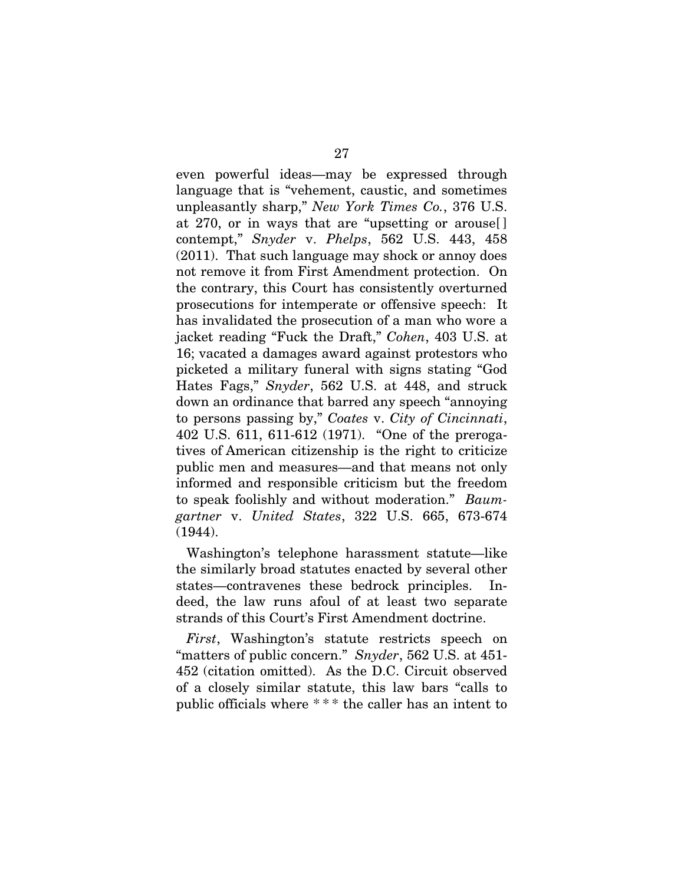even powerful ideas—may be expressed through language that is "vehement, caustic, and sometimes unpleasantly sharp," *New York Times Co.*, 376 U.S. at 270, or in ways that are "upsetting or arouse[ ] contempt," *Snyder* v. *Phelps*, 562 U.S. 443, 458 (2011). That such language may shock or annoy does not remove it from First Amendment protection. On the contrary, this Court has consistently overturned prosecutions for intemperate or offensive speech: It has invalidated the prosecution of a man who wore a jacket reading "Fuck the Draft," *Cohen*, 403 U.S. at 16; vacated a damages award against protestors who picketed a military funeral with signs stating "God Hates Fags," *Snyder*, 562 U.S. at 448, and struck down an ordinance that barred any speech "annoying to persons passing by," *Coates* v. *City of Cincinnati*, 402 U.S. 611, 611-612 (1971). "One of the prerogatives of American citizenship is the right to criticize public men and measures—and that means not only informed and responsible criticism but the freedom to speak foolishly and without moderation." *Baumgartner* v. *United States*, 322 U.S. 665, 673-674 (1944).

Washington's telephone harassment statute—like the similarly broad statutes enacted by several other states—contravenes these bedrock principles. Indeed, the law runs afoul of at least two separate strands of this Court's First Amendment doctrine.

*First*, Washington's statute restricts speech on "matters of public concern." *Snyder*, 562 U.S. at 451- 452 (citation omitted). As the D.C. Circuit observed of a closely similar statute, this law bars "calls to public officials where \* \* \* the caller has an intent to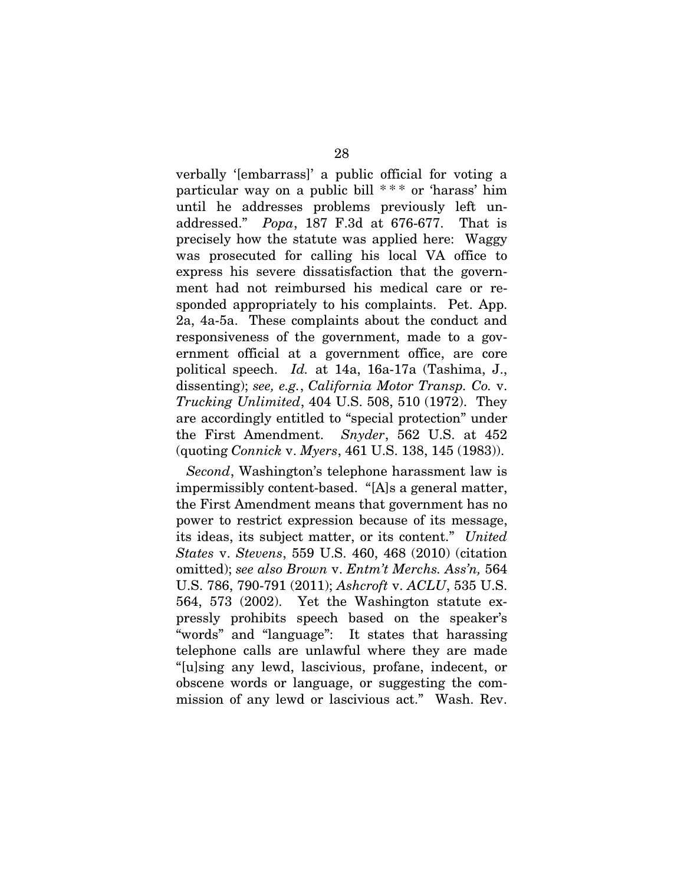verbally '[embarrass]' a public official for voting a particular way on a public bill  $***$  or 'harass' him until he addresses problems previously left unaddressed." *Popa*, 187 F.3d at 676-677. That is precisely how the statute was applied here: Waggy was prosecuted for calling his local VA office to express his severe dissatisfaction that the government had not reimbursed his medical care or responded appropriately to his complaints. Pet. App. 2a, 4a-5a. These complaints about the conduct and responsiveness of the government, made to a government official at a government office, are core political speech. *Id.* at 14a, 16a-17a (Tashima, J., dissenting); *see, e.g.*, *California Motor Transp. Co.* v. *Trucking Unlimited*, 404 U.S. 508, 510 (1972). They are accordingly entitled to "special protection" under the First Amendment. *Snyder*, 562 U.S. at 452 (quoting *Connick* v. *Myers*, 461 U.S. 138, 145 (1983)).

*Second*, Washington's telephone harassment law is impermissibly content-based. "[A]s a general matter, the First Amendment means that government has no power to restrict expression because of its message, its ideas, its subject matter, or its content." *United States* v. *Stevens*, 559 U.S. 460, 468 (2010) (citation omitted); *see also Brown* v. *Entm't Merchs. Ass'n,* 564 U.S. 786, 790-791 (2011); *Ashcroft* v. *ACLU*, 535 U.S. 564, 573 (2002). Yet the Washington statute expressly prohibits speech based on the speaker's "words" and "language": It states that harassing telephone calls are unlawful where they are made "[u]sing any lewd, lascivious, profane, indecent, or obscene words or language, or suggesting the commission of any lewd or lascivious act." Wash. Rev.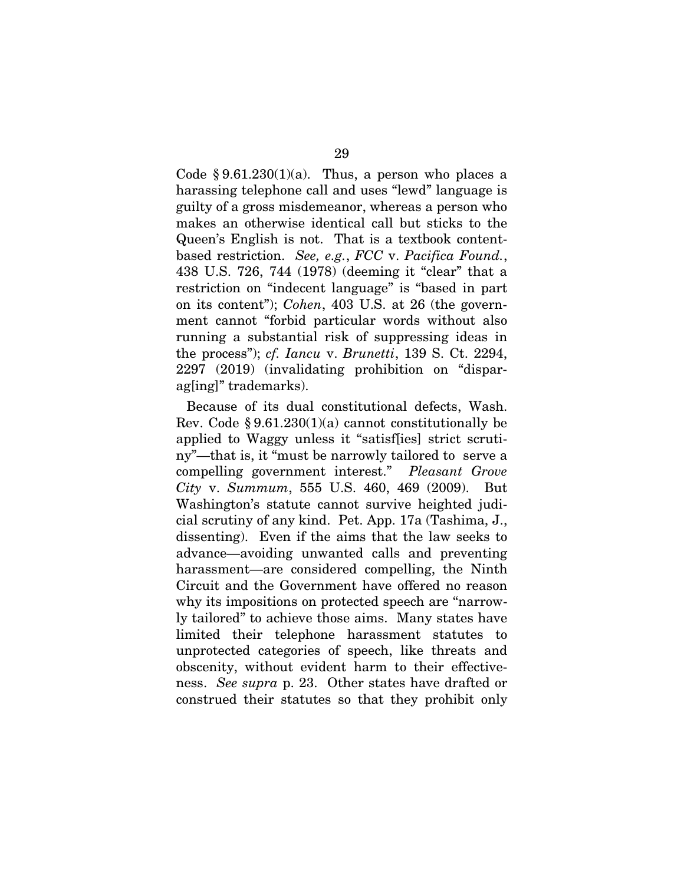Code  $§ 9.61.230(1)(a)$ . Thus, a person who places a harassing telephone call and uses "lewd" language is guilty of a gross misdemeanor, whereas a person who makes an otherwise identical call but sticks to the Queen's English is not. That is a textbook contentbased restriction. *See, e.g.*, *FCC* v. *Pacifica Found.*, 438 U.S. 726, 744 (1978) (deeming it "clear" that a restriction on "indecent language" is "based in part on its content"); *Cohen*, 403 U.S. at 26 (the government cannot "forbid particular words without also running a substantial risk of suppressing ideas in the process"); *cf. Iancu* v. *Brunetti*, 139 S. Ct. 2294, 2297 (2019) (invalidating prohibition on "disparag[ing]" trademarks).

Because of its dual constitutional defects, Wash. Rev. Code  $\S 9.61.230(1)(a)$  cannot constitutionally be applied to Waggy unless it "satisf[ies] strict scrutiny"—that is, it "must be narrowly tailored to serve a compelling government interest." *Pleasant Grove City* v. *Summum*, 555 U.S. 460, 469 (2009). But Washington's statute cannot survive heighted judicial scrutiny of any kind. Pet. App. 17a (Tashima, J., dissenting). Even if the aims that the law seeks to advance—avoiding unwanted calls and preventing harassment—are considered compelling, the Ninth Circuit and the Government have offered no reason why its impositions on protected speech are "narrowly tailored" to achieve those aims. Many states have limited their telephone harassment statutes to unprotected categories of speech, like threats and obscenity, without evident harm to their effectiveness. *See supra* p. 23. Other states have drafted or construed their statutes so that they prohibit only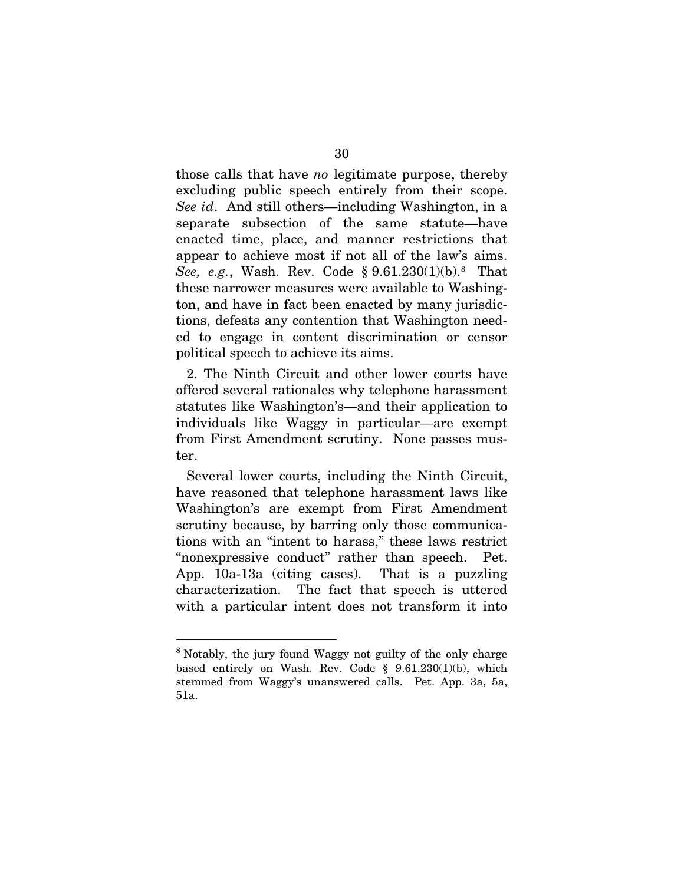those calls that have *no* legitimate purpose, thereby excluding public speech entirely from their scope. *See id*. And still others—including Washington, in a separate subsection of the same statute—have enacted time, place, and manner restrictions that appear to achieve most if not all of the law's aims. *See, e.g.*, Wash. Rev. Code § 9.61.230(1)(b).<sup>8</sup> That these narrower measures were available to Washington, and have in fact been enacted by many jurisdictions, defeats any contention that Washington needed to engage in content discrimination or censor political speech to achieve its aims.

2. The Ninth Circuit and other lower courts have offered several rationales why telephone harassment statutes like Washington's—and their application to individuals like Waggy in particular—are exempt from First Amendment scrutiny. None passes muster.

Several lower courts, including the Ninth Circuit, have reasoned that telephone harassment laws like Washington's are exempt from First Amendment scrutiny because, by barring only those communications with an "intent to harass," these laws restrict "nonexpressive conduct" rather than speech. Pet. App. 10a-13a (citing cases). That is a puzzling characterization. The fact that speech is uttered with a particular intent does not transform it into

<sup>&</sup>lt;sup>8</sup> Notably, the jury found Waggy not guilty of the only charge based entirely on Wash. Rev. Code § 9.61.230(1)(b), which stemmed from Waggy's unanswered calls. Pet. App. 3a, 5a, 51a.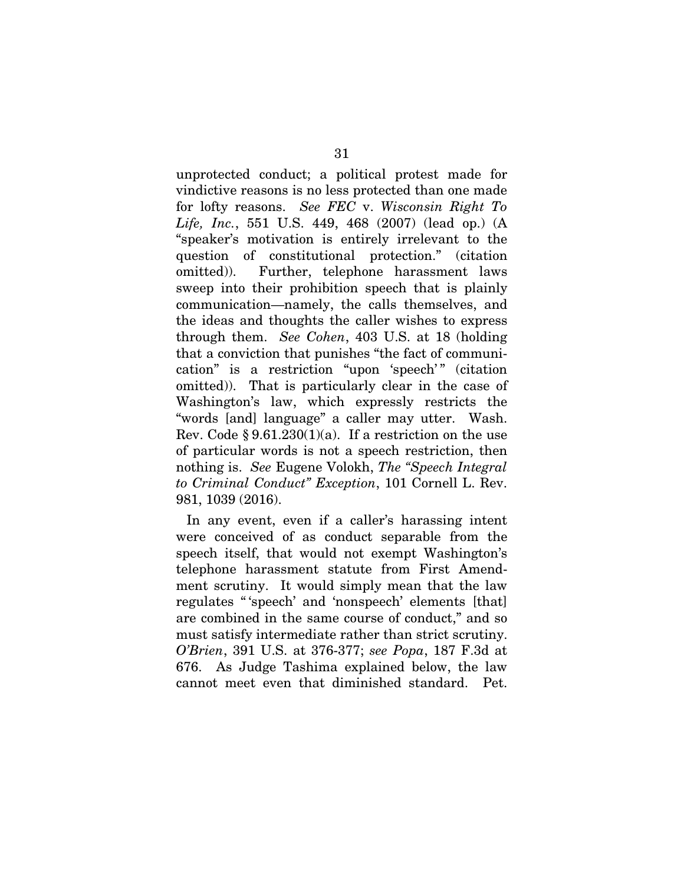unprotected conduct; a political protest made for vindictive reasons is no less protected than one made for lofty reasons. *See FEC* v. *Wisconsin Right To Life, Inc.*, 551 U.S. 449, 468 (2007) (lead op.) (A "speaker's motivation is entirely irrelevant to the question of constitutional protection." (citation omitted)). Further, telephone harassment laws sweep into their prohibition speech that is plainly communication—namely, the calls themselves, and the ideas and thoughts the caller wishes to express through them. *See Cohen*, 403 U.S. at 18 (holding that a conviction that punishes "the fact of communication" is a restriction "upon 'speech'" (citation omitted)). That is particularly clear in the case of Washington's law, which expressly restricts the "words [and] language" a caller may utter. Wash. Rev. Code  $\S 9.61.230(1)(a)$ . If a restriction on the use of particular words is not a speech restriction, then nothing is. *See* Eugene Volokh, *The "Speech Integral to Criminal Conduct" Exception*, 101 Cornell L. Rev. 981, 1039 (2016).

In any event, even if a caller's harassing intent were conceived of as conduct separable from the speech itself, that would not exempt Washington's telephone harassment statute from First Amendment scrutiny. It would simply mean that the law regulates " 'speech' and 'nonspeech' elements [that] are combined in the same course of conduct," and so must satisfy intermediate rather than strict scrutiny. *O'Brien*, 391 U.S. at 376-377; *see Popa*, 187 F.3d at 676. As Judge Tashima explained below, the law cannot meet even that diminished standard. Pet.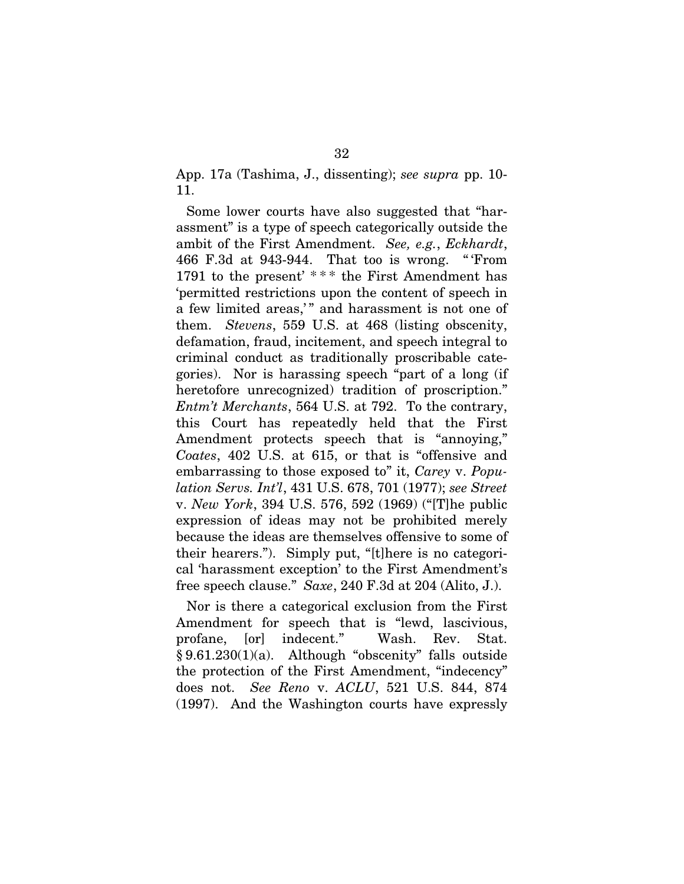App. 17a (Tashima, J., dissenting); *see supra* pp. 10- 11.

Some lower courts have also suggested that "harassment" is a type of speech categorically outside the ambit of the First Amendment. *See, e.g.*, *Eckhardt*, 466 F.3d at 943-944. That too is wrong. " 'From 1791 to the present' \* \* \* the First Amendment has 'permitted restrictions upon the content of speech in a few limited areas,'" and harassment is not one of them. *Stevens*, 559 U.S. at 468 (listing obscenity, defamation, fraud, incitement, and speech integral to criminal conduct as traditionally proscribable categories). Nor is harassing speech "part of a long (if heretofore unrecognized) tradition of proscription." *Entm't Merchants*, 564 U.S. at 792. To the contrary, this Court has repeatedly held that the First Amendment protects speech that is "annoying," *Coates*, 402 U.S. at 615, or that is "offensive and embarrassing to those exposed to" it, *Carey* v. *Population Servs. Int'l*, 431 U.S. 678, 701 (1977); *see Street*  v. *New York*, 394 U.S. 576, 592 (1969) ("[T]he public expression of ideas may not be prohibited merely because the ideas are themselves offensive to some of their hearers."). Simply put, "[t]here is no categorical 'harassment exception' to the First Amendment's free speech clause." *Saxe*, 240 F.3d at 204 (Alito, J.).

Nor is there a categorical exclusion from the First Amendment for speech that is "lewd, lascivious, profane, [or] indecent." Wash. Rev. Stat. § 9.61.230(1)(a). Although "obscenity" falls outside the protection of the First Amendment, "indecency" does not. *See Reno* v. *ACLU*, 521 U.S. 844, 874 (1997). And the Washington courts have expressly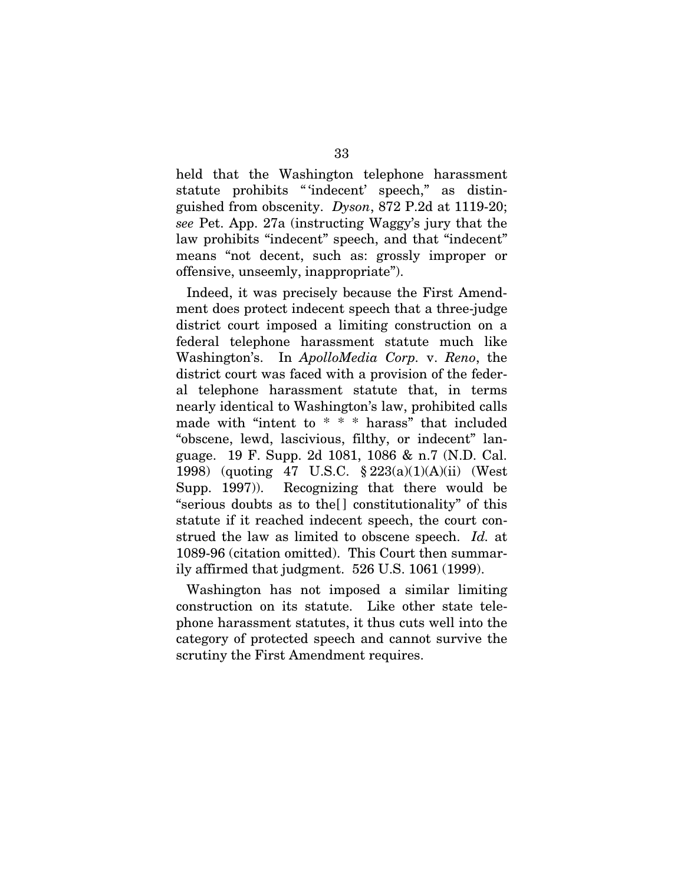held that the Washington telephone harassment statute prohibits "'indecent' speech," as distinguished from obscenity. *Dyson*, 872 P.2d at 1119-20; *see* Pet. App. 27a (instructing Waggy's jury that the law prohibits "indecent" speech, and that "indecent" means "not decent, such as: grossly improper or offensive, unseemly, inappropriate").

Indeed, it was precisely because the First Amendment does protect indecent speech that a three-judge district court imposed a limiting construction on a federal telephone harassment statute much like Washington's. In *ApolloMedia Corp.* v. *Reno*, the district court was faced with a provision of the federal telephone harassment statute that, in terms nearly identical to Washington's law, prohibited calls made with "intent to \* \* \* harass" that included "obscene, lewd, lascivious, filthy, or indecent" language. 19 F. Supp. 2d 1081, 1086 & n.7 (N.D. Cal. 1998) (quoting 47 U.S.C. § 223(a)(1)(A)(ii) (West Supp. 1997)). Recognizing that there would be "serious doubts as to the[ ] constitutionality" of this statute if it reached indecent speech, the court construed the law as limited to obscene speech. *Id.* at 1089-96 (citation omitted). This Court then summarily affirmed that judgment. 526 U.S. 1061 (1999).

Washington has not imposed a similar limiting construction on its statute. Like other state telephone harassment statutes, it thus cuts well into the category of protected speech and cannot survive the scrutiny the First Amendment requires.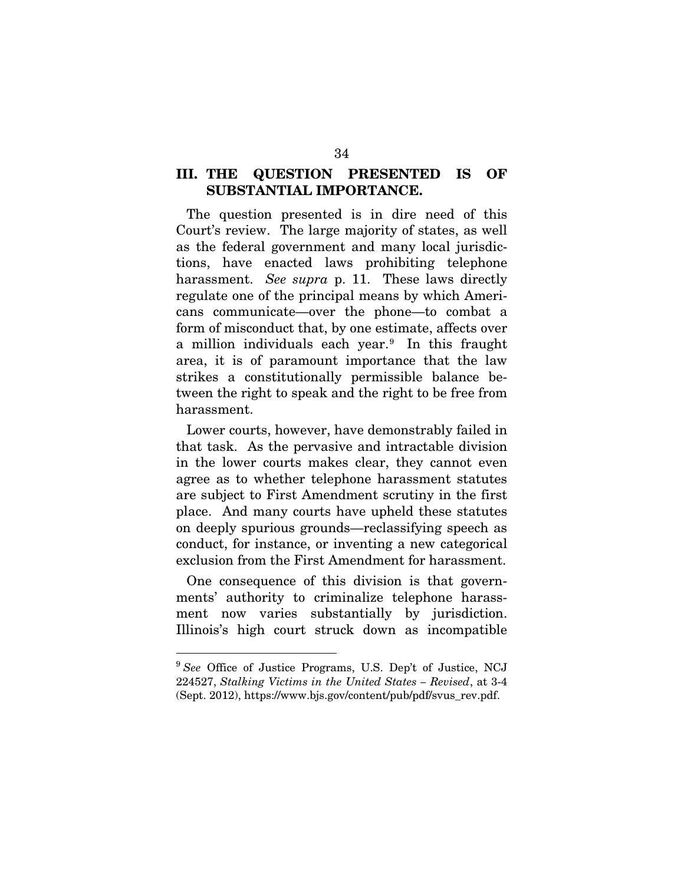### III. THE QUESTION PRESENTED IS OF SUBSTANTIAL IMPORTANCE.

The question presented is in dire need of this Court's review. The large majority of states, as well as the federal government and many local jurisdictions, have enacted laws prohibiting telephone harassment. *See supra* p. 11. These laws directly regulate one of the principal means by which Americans communicate—over the phone—to combat a form of misconduct that, by one estimate, affects over a million individuals each year.<sup>9</sup> In this fraught area, it is of paramount importance that the law strikes a constitutionally permissible balance between the right to speak and the right to be free from harassment.

Lower courts, however, have demonstrably failed in that task. As the pervasive and intractable division in the lower courts makes clear, they cannot even agree as to whether telephone harassment statutes are subject to First Amendment scrutiny in the first place. And many courts have upheld these statutes on deeply spurious grounds—reclassifying speech as conduct, for instance, or inventing a new categorical exclusion from the First Amendment for harassment.

One consequence of this division is that governments' authority to criminalize telephone harassment now varies substantially by jurisdiction. Illinois's high court struck down as incompatible

<sup>9</sup> *See* Office of Justice Programs, U.S. Dep't of Justice, NCJ 224527, *Stalking Victims in the United States – Revised*, at 3-4 (Sept. 2012), https://www.bjs.gov/content/pub/pdf/svus\_rev.pdf.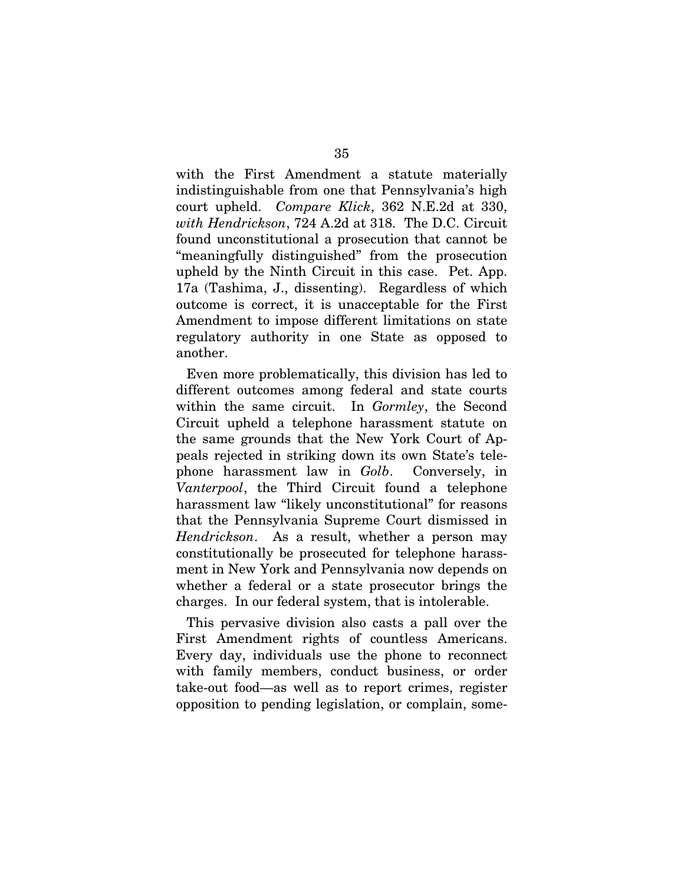with the First Amendment a statute materially indistinguishable from one that Pennsylvania's high court upheld. *Compare Klick*, 362 N.E.2d at 330, *with Hendrickson*, 724 A.2d at 318. The D.C. Circuit found unconstitutional a prosecution that cannot be "meaningfully distinguished" from the prosecution upheld by the Ninth Circuit in this case. Pet. App. 17a (Tashima, J., dissenting). Regardless of which outcome is correct, it is unacceptable for the First Amendment to impose different limitations on state regulatory authority in one State as opposed to another.

Even more problematically, this division has led to different outcomes among federal and state courts within the same circuit. In *Gormley*, the Second Circuit upheld a telephone harassment statute on the same grounds that the New York Court of Appeals rejected in striking down its own State's telephone harassment law in *Golb*. Conversely, in *Vanterpool*, the Third Circuit found a telephone harassment law "likely unconstitutional" for reasons that the Pennsylvania Supreme Court dismissed in *Hendrickson*. As a result, whether a person may constitutionally be prosecuted for telephone harassment in New York and Pennsylvania now depends on whether a federal or a state prosecutor brings the charges. In our federal system, that is intolerable.

This pervasive division also casts a pall over the First Amendment rights of countless Americans. Every day, individuals use the phone to reconnect with family members, conduct business, or order take-out food—as well as to report crimes, register opposition to pending legislation, or complain, some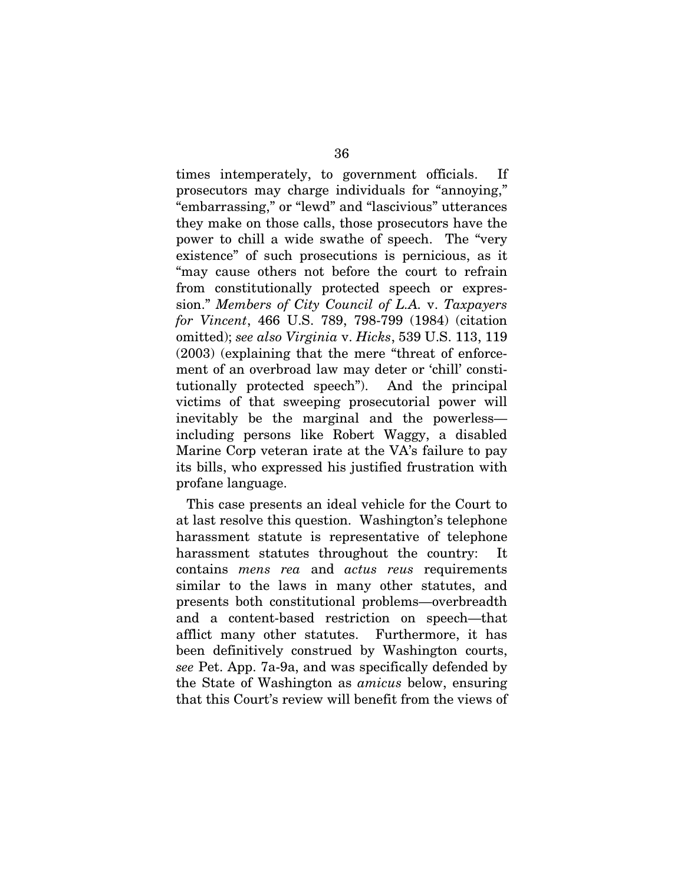times intemperately, to government officials. If prosecutors may charge individuals for "annoying," "embarrassing," or "lewd" and "lascivious" utterances they make on those calls, those prosecutors have the power to chill a wide swathe of speech. The "very existence" of such prosecutions is pernicious, as it "may cause others not before the court to refrain from constitutionally protected speech or expression." *Members of City Council of L.A.* v. *Taxpayers for Vincent*, 466 U.S. 789, 798-799 (1984) (citation omitted); *see also Virginia* v. *Hicks*, 539 U.S. 113, 119 (2003) (explaining that the mere "threat of enforcement of an overbroad law may deter or 'chill' constitutionally protected speech"). And the principal victims of that sweeping prosecutorial power will inevitably be the marginal and the powerless including persons like Robert Waggy, a disabled Marine Corp veteran irate at the VA's failure to pay its bills, who expressed his justified frustration with profane language.

This case presents an ideal vehicle for the Court to at last resolve this question. Washington's telephone harassment statute is representative of telephone harassment statutes throughout the country: It contains *mens rea* and *actus reus* requirements similar to the laws in many other statutes, and presents both constitutional problems—overbreadth and a content-based restriction on speech—that afflict many other statutes. Furthermore, it has been definitively construed by Washington courts, *see* Pet. App. 7a-9a, and was specifically defended by the State of Washington as *amicus* below, ensuring that this Court's review will benefit from the views of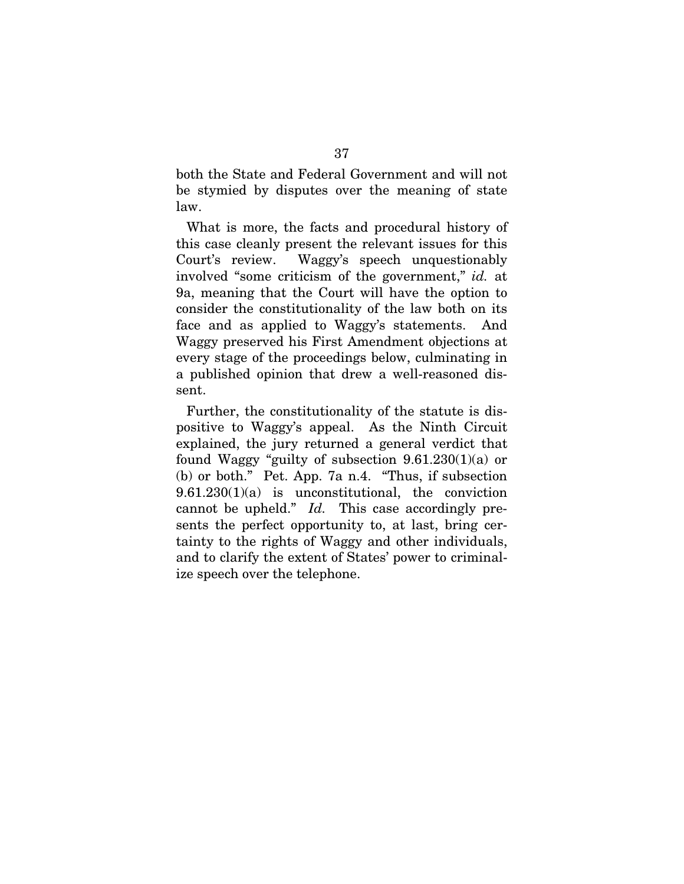both the State and Federal Government and will not be stymied by disputes over the meaning of state law.

What is more, the facts and procedural history of this case cleanly present the relevant issues for this Court's review. Waggy's speech unquestionably involved "some criticism of the government," *id.* at 9a, meaning that the Court will have the option to consider the constitutionality of the law both on its face and as applied to Waggy's statements. And Waggy preserved his First Amendment objections at every stage of the proceedings below, culminating in a published opinion that drew a well-reasoned dissent.

Further, the constitutionality of the statute is dispositive to Waggy's appeal. As the Ninth Circuit explained, the jury returned a general verdict that found Waggy "guilty of subsection  $9.61.230(1)(a)$  or (b) or both." Pet. App. 7a n.4. "Thus, if subsection  $9.61.230(1)(a)$  is unconstitutional, the conviction cannot be upheld." *Id.* This case accordingly presents the perfect opportunity to, at last, bring certainty to the rights of Waggy and other individuals, and to clarify the extent of States' power to criminalize speech over the telephone.